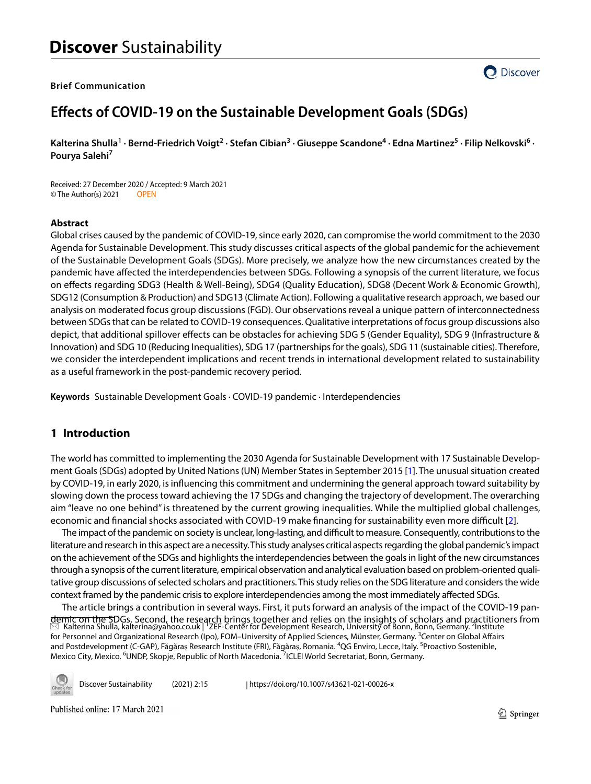### **Brief Communication**



# **Efects of COVID‑19 on the Sustainable Development Goals (SDGs)**

Kalterina Shulla<sup>1</sup> · Bernd-Friedrich Voigt<sup>2</sup> · Stefan Cibian<sup>3</sup> · Giuseppe Scandone<sup>4</sup> · Edna Martinez<sup>5</sup> · Filip Nelkovski<sup>6</sup> · **Pourya Salehi7**

Received: 27 December 2020 / Accepted: 9 March 2021 © The Author(s) 2021 OPEN

### **Abstract**

Global crises caused by the pandemic of COVID-19, since early 2020, can compromise the world commitment to the 2030 Agenda for Sustainable Development. This study discusses critical aspects of the global pandemic for the achievement of the Sustainable Development Goals (SDGs). More precisely, we analyze how the new circumstances created by the pandemic have afected the interdependencies between SDGs. Following a synopsis of the current literature, we focus on efects regarding SDG3 (Health & Well-Being), SDG4 (Quality Education), SDG8 (Decent Work & Economic Growth), SDG12 (Consumption & Production) and SDG13 (Climate Action). Following a qualitative research approach, we based our analysis on moderated focus group discussions (FGD). Our observations reveal a unique pattern of interconnectedness between SDGs that can be related to COVID-19 consequences. Qualitative interpretations of focus group discussions also depict, that additional spillover efects can be obstacles for achieving SDG 5 (Gender Equality), SDG 9 (Infrastructure & Innovation) and SDG 10 (Reducing Inequalities), SDG 17 (partnerships for the goals), SDG 11 (sustainable cities). Therefore, we consider the interdependent implications and recent trends in international development related to sustainability as a useful framework in the post-pandemic recovery period.

**Keywords** Sustainable Development Goals · COVID-19 pandemic · Interdependencies

# **1 Introduction**

The world has committed to implementing the 2030 Agenda for Sustainable Development with 17 Sustainable Development Goals (SDGs) adopted by United Nations (UN) Member States in September 2015 [[1\]](#page-15-0). The unusual situation created by COVID-19, in early 2020, is infuencing this commitment and undermining the general approach toward suitability by slowing down the process toward achieving the 17 SDGs and changing the trajectory of development. The overarching aim "leave no one behind" is threatened by the current growing inequalities. While the multiplied global challenges, economic and fnancial shocks associated with COVID-19 make fnancing for sustainability even more difcult [[2\]](#page-15-1).

The impact of the pandemic on society is unclear, long-lasting, and difficult to measure. Consequently, contributions to the literature and research in this aspect are a necessity. This study analyses critical aspects regarding the global pandemic's impact on the achievement of the SDGs and highlights the interdependencies between the goals in light of the new circumstances through a synopsis of the current literature, empirical observation and analytical evaluation based on problem-oriented qualitative group discussions of selected scholars and practitioners. This study relies on the SDG literature and considers the wide context framed by the pandemic crisis to explore interdependencies among the most immediately afected SDGs.

The article brings a contribution in several ways. First, it puts forward an analysis of the impact of the COVID-19 pandemic on the SDGs. Second, the research brings together and relies on the insights of scholars and practitioners from<br>⊠ Kalterina Shulla, kalterina@yahoo.co.uk| ZEF-Center for Development Research, University of Bonn, Bon for Personnel and Organizational Research (Ipo), FOM–University of Applied Sciences, Münster, Germany. <sup>3</sup>Center on Global Affairs and Postdevelopment (C-GAP), Făgăraș Research Institute (FRI), Făgăraș, Romania. <sup>4</sup>QG Enviro, Lecce, Italy. <sup>5</sup>Proactivo Sostenible, Mexico City, Mexico. <sup>6</sup>UNDP, Skopje, Republic of North Macedonia. <sup>7</sup>ICLEI World Secretariat, Bonn, Germany.

Discover Sustainability (2021) 2:15 | https://doi.org/10.1007/s43621-021-00026-x

Published online: 17 March 2021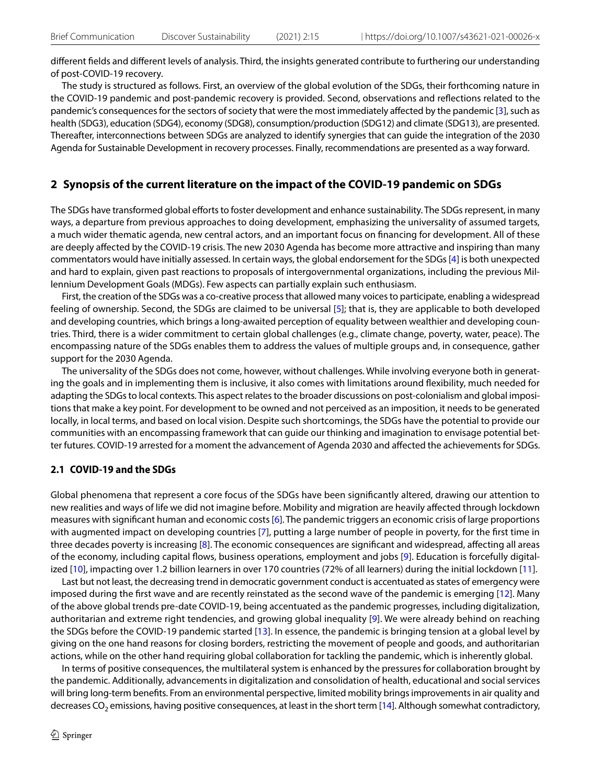diferent felds and diferent levels of analysis. Third, the insights generated contribute to furthering our understanding of post-COVID-19 recovery.

The study is structured as follows. First, an overview of the global evolution of the SDGs, their forthcoming nature in the COVID-19 pandemic and post-pandemic recovery is provided. Second, observations and refections related to the pandemic's consequences for the sectors of society that were the most immediately afected by the pandemic [[3\]](#page-15-2), such as health (SDG3), education (SDG4), economy (SDG8), consumption/production (SDG12) and climate (SDG13), are presented. Thereafter, interconnections between SDGs are analyzed to identify synergies that can guide the integration of the 2030 Agenda for Sustainable Development in recovery processes. Finally, recommendations are presented as a way forward.

# **2 Synopsis of the current literature on the impact of the COVID‑19 pandemic on SDGs**

The SDGs have transformed global efforts to foster development and enhance sustainability. The SDGs represent, in many ways, a departure from previous approaches to doing development, emphasizing the universality of assumed targets, a much wider thematic agenda, new central actors, and an important focus on fnancing for development. All of these are deeply afected by the COVID-19 crisis. The new 2030 Agenda has become more attractive and inspiring than many commentators would have initially assessed. In certain ways, the global endorsement for the SDGs [\[4](#page-15-3)] is both unexpected and hard to explain, given past reactions to proposals of intergovernmental organizations, including the previous Millennium Development Goals (MDGs). Few aspects can partially explain such enthusiasm.

First, the creation of the SDGs was a co-creative process that allowed many voices to participate, enabling a widespread feeling of ownership. Second, the SDGs are claimed to be universal [\[5](#page-15-4)]; that is, they are applicable to both developed and developing countries, which brings a long-awaited perception of equality between wealthier and developing countries. Third, there is a wider commitment to certain global challenges (e.g., climate change, poverty, water, peace). The encompassing nature of the SDGs enables them to address the values of multiple groups and, in consequence, gather support for the 2030 Agenda.

The universality of the SDGs does not come, however, without challenges. While involving everyone both in generating the goals and in implementing them is inclusive, it also comes with limitations around fexibility, much needed for adapting the SDGs to local contexts. This aspect relates to the broader discussions on post-colonialism and global impositions that make a key point. For development to be owned and not perceived as an imposition, it needs to be generated locally, in local terms, and based on local vision. Despite such shortcomings, the SDGs have the potential to provide our communities with an encompassing framework that can guide our thinking and imagination to envisage potential better futures. COVID-19 arrested for a moment the advancement of Agenda 2030 and afected the achievements for SDGs.

### **2.1 COVID‑19 and the SDGs**

Global phenomena that represent a core focus of the SDGs have been signifcantly altered, drawing our attention to new realities and ways of life we did not imagine before. Mobility and migration are heavily afected through lockdown measures with signifcant human and economic costs [[6\]](#page-15-5). The pandemic triggers an economic crisis of large proportions with augmented impact on developing countries [\[7](#page-16-0)], putting a large number of people in poverty, for the frst time in three decades poverty is increasing [[8](#page-16-1)]. The economic consequences are signifcant and widespread, afecting all areas of the economy, including capital fows, business operations, employment and jobs [[9](#page-16-2)]. Education is forcefully digitalized [\[10\]](#page-16-3), impacting over 1.2 billion learners in over 170 countries (72% of all learners) during the initial lockdown [[11\]](#page-16-4).

Last but not least, the decreasing trend in democratic government conduct is accentuated as states of emergency were imposed during the first wave and are recently reinstated as the second wave of the pandemic is emerging [[12\]](#page-16-5). Many of the above global trends pre-date COVID-19, being accentuated as the pandemic progresses, including digitalization, authoritarian and extreme right tendencies, and growing global inequality [[9](#page-16-2)]. We were already behind on reaching the SDGs before the COVID-19 pandemic started [[13\]](#page-16-6). In essence, the pandemic is bringing tension at a global level by giving on the one hand reasons for closing borders, restricting the movement of people and goods, and authoritarian actions, while on the other hand requiring global collaboration for tackling the pandemic, which is inherently global.

In terms of positive consequences, the multilateral system is enhanced by the pressures for collaboration brought by the pandemic. Additionally, advancements in digitalization and consolidation of health, educational and social services will bring long-term benefts. From an environmental perspective, limited mobility brings improvements in air quality and decreases CO<sub>2</sub> emissions, having positive consequences, at least in the short term [[14\]](#page-16-7). Although somewhat contradictory,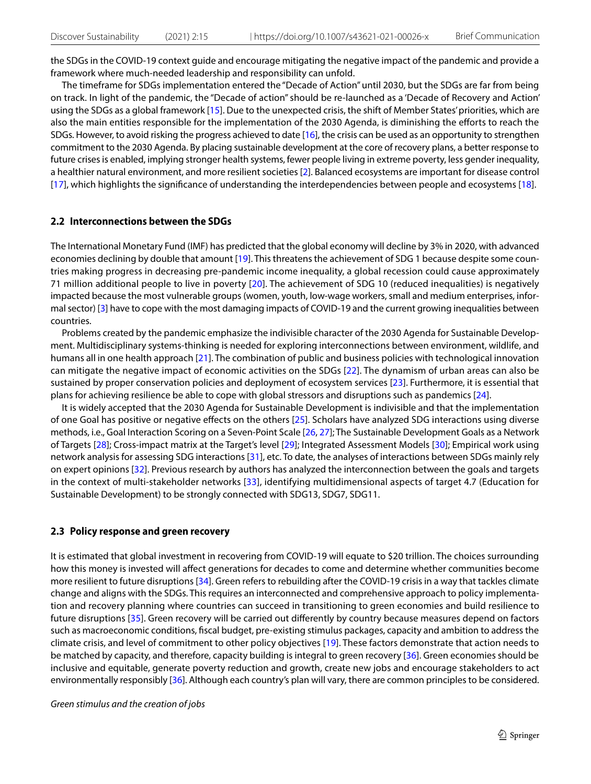the SDGs in the COVID-19 context guide and encourage mitigating the negative impact of the pandemic and provide a framework where much-needed leadership and responsibility can unfold.

The timeframe for SDGs implementation entered the "Decade of Action" until 2030, but the SDGs are far from being on track. In light of the pandemic, the "Decade of action" should be re-launched as a 'Decade of Recovery and Action' using the SDGs as a global framework [\[15\]](#page-16-8). Due to the unexpected crisis, the shift of Member States' priorities, which are also the main entities responsible for the implementation of the 2030 Agenda, is diminishing the eforts to reach the SDGs. However, to avoid risking the progress achieved to date  $[16]$ , the crisis can be used as an opportunity to strengthen commitment to the 2030 Agenda. By placing sustainable development at the core of recovery plans, a better response to future crises is enabled, implying stronger health systems, fewer people living in extreme poverty, less gender inequality, a healthier natural environment, and more resilient societies [\[2](#page-15-1)]. Balanced ecosystems are important for disease control [[17](#page-16-10)], which highlights the signifcance of understanding the interdependencies between people and ecosystems [[18\]](#page-16-11).

### **2.2 Interconnections between the SDGs**

The International Monetary Fund (IMF) has predicted that the global economy will decline by 3% in 2020, with advanced economies declining by double that amount [[19](#page-16-12)]. This threatens the achievement of SDG 1 because despite some countries making progress in decreasing pre-pandemic income inequality, a global recession could cause approximately 71 million additional people to live in poverty [[20](#page-16-13)]. The achievement of SDG 10 (reduced inequalities) is negatively impacted because the most vulnerable groups (women, youth, low-wage workers, small and medium enterprises, informal sector) [\[3](#page-15-2)] have to cope with the most damaging impacts of COVID-19 and the current growing inequalities between countries.

Problems created by the pandemic emphasize the indivisible character of the 2030 Agenda for Sustainable Development. Multidisciplinary systems-thinking is needed for exploring interconnections between environment, wildlife, and humans all in one health approach [[21](#page-16-14)]. The combination of public and business policies with technological innovation can mitigate the negative impact of economic activities on the SDGs [\[22\]](#page-16-15). The dynamism of urban areas can also be sustained by proper conservation policies and deployment of ecosystem services [[23](#page-16-16)]. Furthermore, it is essential that plans for achieving resilience be able to cope with global stressors and disruptions such as pandemics [[24](#page-16-17)].

It is widely accepted that the 2030 Agenda for Sustainable Development is indivisible and that the implementation of one Goal has positive or negative efects on the others [\[25](#page-16-18)]. Scholars have analyzed SDG interactions using diverse methods, i.e., Goal Interaction Scoring on a Seven-Point Scale [[26](#page-16-19), [27](#page-16-20)]; The Sustainable Development Goals as a Network of Targets [[28](#page-16-21)]; Cross-impact matrix at the Target's level [[29\]](#page-16-22); Integrated Assessment Models [\[30\]](#page-16-23); Empirical work using network analysis for assessing SDG interactions [[31](#page-16-24)], etc. To date, the analyses of interactions between SDGs mainly rely on expert opinions [\[32\]](#page-16-25). Previous research by authors has analyzed the interconnection between the goals and targets in the context of multi-stakeholder networks [[33\]](#page-16-26), identifying multidimensional aspects of target 4.7 (Education for Sustainable Development) to be strongly connected with SDG13, SDG7, SDG11.

#### **2.3 Policy response and green recovery**

It is estimated that global investment in recovering from COVID-19 will equate to \$20 trillion. The choices surrounding how this money is invested will afect generations for decades to come and determine whether communities become more resilient to future disruptions [\[34](#page-16-27)]. Green refers to rebuilding after the COVID-19 crisis in a way that tackles climate change and aligns with the SDGs. This requires an interconnected and comprehensive approach to policy implementation and recovery planning where countries can succeed in transitioning to green economies and build resilience to future disruptions [[35\]](#page-16-28). Green recovery will be carried out diferently by country because measures depend on factors such as macroeconomic conditions, fscal budget, pre-existing stimulus packages, capacity and ambition to address the climate crisis, and level of commitment to other policy objectives [\[19\]](#page-16-12). These factors demonstrate that action needs to be matched by capacity, and therefore, capacity building is integral to green recovery [[36\]](#page-16-29). Green economies should be inclusive and equitable, generate poverty reduction and growth, create new jobs and encourage stakeholders to act environmentally responsibly [[36\]](#page-16-29). Although each country's plan will vary, there are common principles to be considered.

*Green stimulus and the creation of jobs*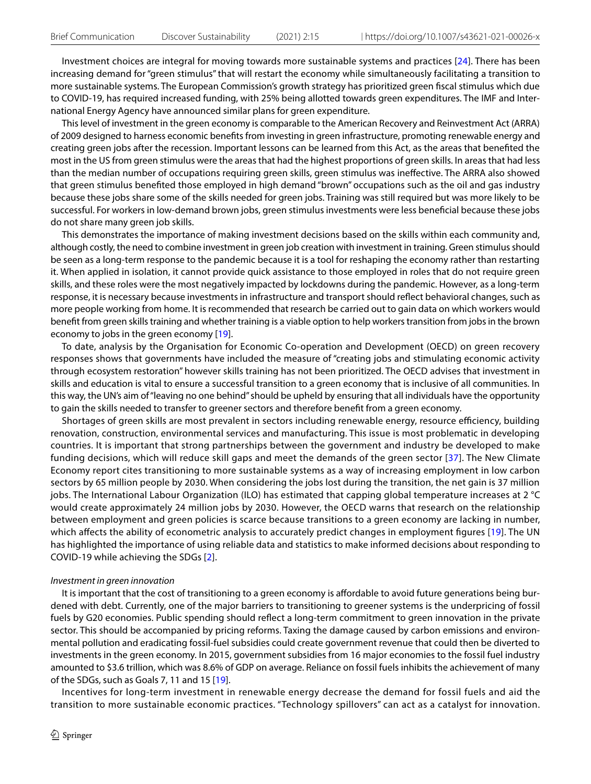Investment choices are integral for moving towards more sustainable systems and practices [\[24](#page-16-17)]. There has been increasing demand for "green stimulus" that will restart the economy while simultaneously facilitating a transition to more sustainable systems. The European Commission's growth strategy has prioritized green fscal stimulus which due to COVID-19, has required increased funding, with 25% being allotted towards green expenditures. The IMF and International Energy Agency have announced similar plans for green expenditure.

This level of investment in the green economy is comparable to the American Recovery and Reinvestment Act (ARRA) of 2009 designed to harness economic benefts from investing in green infrastructure, promoting renewable energy and creating green jobs after the recession. Important lessons can be learned from this Act, as the areas that benefted the most in the US from green stimulus were the areas that had the highest proportions of green skills. In areas that had less than the median number of occupations requiring green skills, green stimulus was inefective. The ARRA also showed that green stimulus benefted those employed in high demand "brown" occupations such as the oil and gas industry because these jobs share some of the skills needed for green jobs. Training was still required but was more likely to be successful. For workers in low-demand brown jobs, green stimulus investments were less benefcial because these jobs do not share many green job skills.

This demonstrates the importance of making investment decisions based on the skills within each community and, although costly, the need to combine investment in green job creation with investment in training. Green stimulus should be seen as a long-term response to the pandemic because it is a tool for reshaping the economy rather than restarting it. When applied in isolation, it cannot provide quick assistance to those employed in roles that do not require green skills, and these roles were the most negatively impacted by lockdowns during the pandemic. However, as a long-term response, it is necessary because investments in infrastructure and transport should refect behavioral changes, such as more people working from home. It is recommended that research be carried out to gain data on which workers would beneft from green skills training and whether training is a viable option to help workers transition from jobs in the brown economy to jobs in the green economy [[19\]](#page-16-12).

To date, analysis by the Organisation for Economic Co-operation and Development (OECD) on green recovery responses shows that governments have included the measure of "creating jobs and stimulating economic activity through ecosystem restoration" however skills training has not been prioritized. The OECD advises that investment in skills and education is vital to ensure a successful transition to a green economy that is inclusive of all communities. In this way, the UN's aim of "leaving no one behind" should be upheld by ensuring that all individuals have the opportunity to gain the skills needed to transfer to greener sectors and therefore beneft from a green economy.

Shortages of green skills are most prevalent in sectors including renewable energy, resource efficiency, building renovation, construction, environmental services and manufacturing. This issue is most problematic in developing countries. It is important that strong partnerships between the government and industry be developed to make funding decisions, which will reduce skill gaps and meet the demands of the green sector [[37](#page-16-30)]. The New Climate Economy report cites transitioning to more sustainable systems as a way of increasing employment in low carbon sectors by 65 million people by 2030. When considering the jobs lost during the transition, the net gain is 37 million jobs. The International Labour Organization (ILO) has estimated that capping global temperature increases at 2 °C would create approximately 24 million jobs by 2030. However, the OECD warns that research on the relationship between employment and green policies is scarce because transitions to a green economy are lacking in number, which affects the ability of econometric analysis to accurately predict changes in employment figures [[19](#page-16-12)]. The UN has highlighted the importance of using reliable data and statistics to make informed decisions about responding to COVID-19 while achieving the SDGs [\[2\]](#page-15-1).

#### *Investment in green innovation*

It is important that the cost of transitioning to a green economy is affordable to avoid future generations being burdened with debt. Currently, one of the major barriers to transitioning to greener systems is the underpricing of fossil fuels by G20 economies. Public spending should reflect a long-term commitment to green innovation in the private sector. This should be accompanied by pricing reforms. Taxing the damage caused by carbon emissions and environmental pollution and eradicating fossil-fuel subsidies could create government revenue that could then be diverted to investments in the green economy. In 2015, government subsidies from 16 major economies to the fossil fuel industry amounted to \$3.6 trillion, which was 8.6% of GDP on average. Reliance on fossil fuels inhibits the achievement of many of the SDGs, such as Goals 7, 11 and 15 [\[19](#page-16-12)].

Incentives for long-term investment in renewable energy decrease the demand for fossil fuels and aid the transition to more sustainable economic practices. "Technology spillovers" can act as a catalyst for innovation.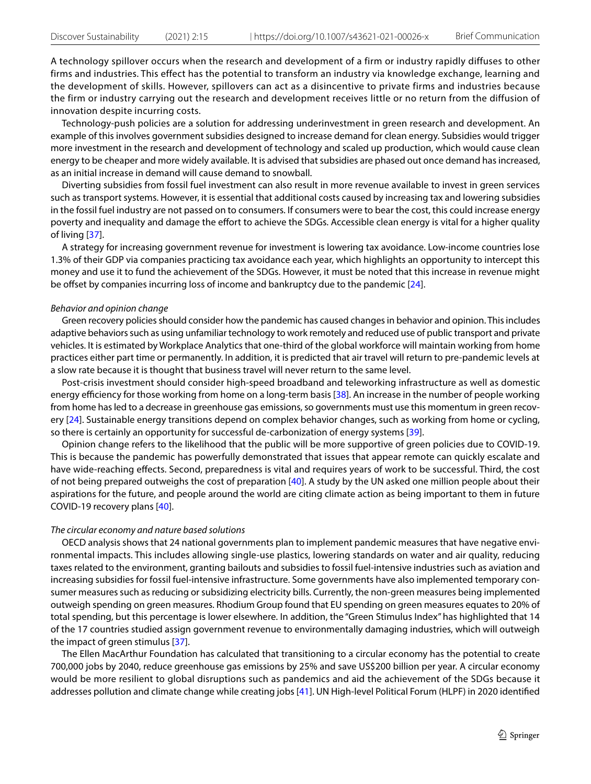A technology spillover occurs when the research and development of a firm or industry rapidly diffuses to other firms and industries. This effect has the potential to transform an industry via knowledge exchange, learning and the development of skills. However, spillovers can act as a disincentive to private firms and industries because the firm or industry carrying out the research and development receives little or no return from the diffusion of innovation despite incurring costs.

Technology-push policies are a solution for addressing underinvestment in green research and development. An example of this involves government subsidies designed to increase demand for clean energy. Subsidies would trigger more investment in the research and development of technology and scaled up production, which would cause clean energy to be cheaper and more widely available. It is advised that subsidies are phased out once demand has increased, as an initial increase in demand will cause demand to snowball.

Diverting subsidies from fossil fuel investment can also result in more revenue available to invest in green services such as transport systems. However, it is essential that additional costs caused by increasing tax and lowering subsidies in the fossil fuel industry are not passed on to consumers. If consumers were to bear the cost, this could increase energy poverty and inequality and damage the effort to achieve the SDGs. Accessible clean energy is vital for a higher quality of living [[37](#page-16-30)].

A strategy for increasing government revenue for investment is lowering tax avoidance. Low-income countries lose 1.3% of their GDP via companies practicing tax avoidance each year, which highlights an opportunity to intercept this money and use it to fund the achievement of the SDGs. However, it must be noted that this increase in revenue might be offset by companies incurring loss of income and bankruptcy due to the pandemic [[24\]](#page-16-17).

### *Behavior and opinion change*

Green recovery policies should consider how the pandemic has caused changes in behavior and opinion. This includes adaptive behaviors such as using unfamiliar technology to work remotely and reduced use of public transport and private vehicles. It is estimated by Workplace Analytics that one-third of the global workforce will maintain working from home practices either part time or permanently. In addition, it is predicted that air travel will return to pre-pandemic levels at a slow rate because it is thought that business travel will never return to the same level.

Post-crisis investment should consider high-speed broadband and teleworking infrastructure as well as domestic energy efficiency for those working from home on a long-term basis [[38](#page-16-31)]. An increase in the number of people working from home has led to a decrease in greenhouse gas emissions, so governments must use this momentum in green recovery [[24\]](#page-16-17). Sustainable energy transitions depend on complex behavior changes, such as working from home or cycling, so there is certainly an opportunity for successful de-carbonization of energy systems [\[39\]](#page-16-32).

Opinion change refers to the likelihood that the public will be more supportive of green policies due to COVID-19. This is because the pandemic has powerfully demonstrated that issues that appear remote can quickly escalate and have wide-reaching efects. Second, preparedness is vital and requires years of work to be successful. Third, the cost of not being prepared outweighs the cost of preparation [[40\]](#page-17-0). A study by the UN asked one million people about their aspirations for the future, and people around the world are citing climate action as being important to them in future COVID-19 recovery plans [[40](#page-17-0)].

### *The circular economy and nature based solutions*

OECD analysis shows that 24 national governments plan to implement pandemic measures that have negative environmental impacts. This includes allowing single-use plastics, lowering standards on water and air quality, reducing taxes related to the environment, granting bailouts and subsidies to fossil fuel-intensive industries such as aviation and increasing subsidies for fossil fuel-intensive infrastructure. Some governments have also implemented temporary consumer measures such as reducing or subsidizing electricity bills. Currently, the non-green measures being implemented outweigh spending on green measures. Rhodium Group found that EU spending on green measures equates to 20% of total spending, but this percentage is lower elsewhere. In addition, the "Green Stimulus Index" has highlighted that 14 of the 17 countries studied assign government revenue to environmentally damaging industries, which will outweigh the impact of green stimulus [\[37](#page-16-30)].

The Ellen MacArthur Foundation has calculated that transitioning to a circular economy has the potential to create 700,000 jobs by 2040, reduce greenhouse gas emissions by 25% and save US\$200 billion per year. A circular economy would be more resilient to global disruptions such as pandemics and aid the achievement of the SDGs because it addresses pollution and climate change while creating jobs [[41\]](#page-17-1). UN High-level Political Forum (HLPF) in 2020 identifed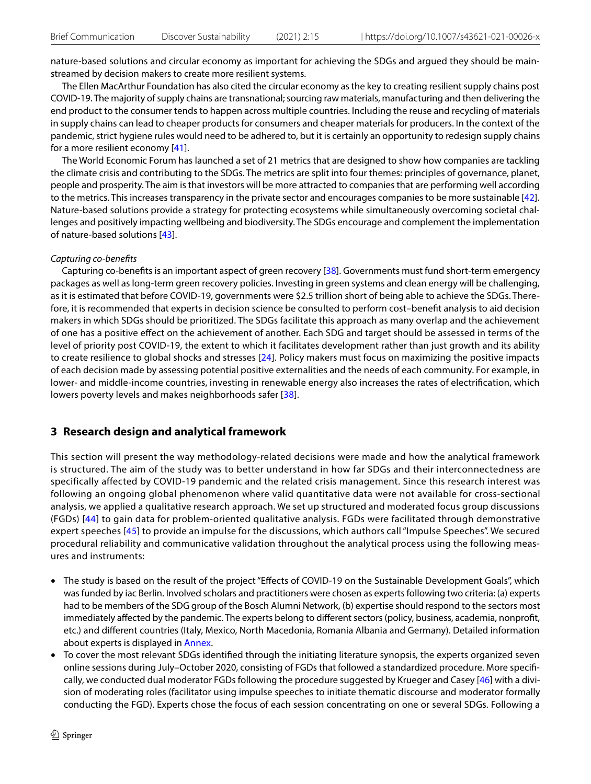nature-based solutions and circular economy as important for achieving the SDGs and argued they should be mainstreamed by decision makers to create more resilient systems.

The Ellen MacArthur Foundation has also cited the circular economy as the key to creating resilient supply chains post COVID-19. The majority of supply chains are transnational; sourcing raw materials, manufacturing and then delivering the end product to the consumer tends to happen across multiple countries. Including the reuse and recycling of materials in supply chains can lead to cheaper products for consumers and cheaper materials for producers. In the context of the pandemic, strict hygiene rules would need to be adhered to, but it is certainly an opportunity to redesign supply chains for a more resilient economy [\[41\]](#page-17-1).

The World Economic Forum has launched a set of 21 metrics that are designed to show how companies are tackling the climate crisis and contributing to the SDGs. The metrics are split into four themes: principles of governance, planet, people and prosperity. The aim is that investors will be more attracted to companies that are performing well according to the metrics. This increases transparency in the private sector and encourages companies to be more sustainable [[42\]](#page-17-2). Nature-based solutions provide a strategy for protecting ecosystems while simultaneously overcoming societal challenges and positively impacting wellbeing and biodiversity. The SDGs encourage and complement the implementation of nature-based solutions [\[43\]](#page-17-3).

### *Capturing co-benefts*

Capturing co-benefts is an important aspect of green recovery [[38](#page-16-31)]. Governments must fund short-term emergency packages as well as long-term green recovery policies. Investing in green systems and clean energy will be challenging, as it is estimated that before COVID-19, governments were \$2.5 trillion short of being able to achieve the SDGs. Therefore, it is recommended that experts in decision science be consulted to perform cost–beneft analysis to aid decision makers in which SDGs should be prioritized. The SDGs facilitate this approach as many overlap and the achievement of one has a positive efect on the achievement of another. Each SDG and target should be assessed in terms of the level of priority post COVID-19, the extent to which it facilitates development rather than just growth and its ability to create resilience to global shocks and stresses [\[24\]](#page-16-17). Policy makers must focus on maximizing the positive impacts of each decision made by assessing potential positive externalities and the needs of each community. For example, in lower- and middle-income countries, investing in renewable energy also increases the rates of electrifcation, which lowers poverty levels and makes neighborhoods safer [[38\]](#page-16-31).

# **3 Research design and analytical framework**

This section will present the way methodology-related decisions were made and how the analytical framework is structured. The aim of the study was to better understand in how far SDGs and their interconnectedness are specifically affected by COVID-19 pandemic and the related crisis management. Since this research interest was following an ongoing global phenomenon where valid quantitative data were not available for cross-sectional analysis, we applied a qualitative research approach. We set up structured and moderated focus group discussions (FGDs) [[44\]](#page-17-4) to gain data for problem-oriented qualitative analysis. FGDs were facilitated through demonstrative expert speeches [\[45](#page-17-5)] to provide an impulse for the discussions, which authors call "Impulse Speeches". We secured procedural reliability and communicative validation throughout the analytical process using the following measures and instruments:

- The study is based on the result of the project "Efects of COVID-19 on the Sustainable Development Goals", which was funded by iac Berlin. Involved scholars and practitioners were chosen as experts following two criteria: (a) experts had to be members of the SDG group of the Bosch Alumni Network, (b) expertise should respond to the sectors most immediately afected by the pandemic. The experts belong to diferent sectors (policy, business, academia, nonproft, etc.) and diferent countries (Italy, Mexico, North Macedonia, Romania Albania and Germany). Detailed information about experts is displayed in [Annex.](#page-13-0)
- To cover the most relevant SDGs identifed through the initiating literature synopsis, the experts organized seven online sessions during July–October 2020, consisting of FGDs that followed a standardized procedure. More specifcally, we conducted dual moderator FGDs following the procedure suggested by Krueger and Casey [\[46\]](#page-17-6) with a division of moderating roles (facilitator using impulse speeches to initiate thematic discourse and moderator formally conducting the FGD). Experts chose the focus of each session concentrating on one or several SDGs. Following a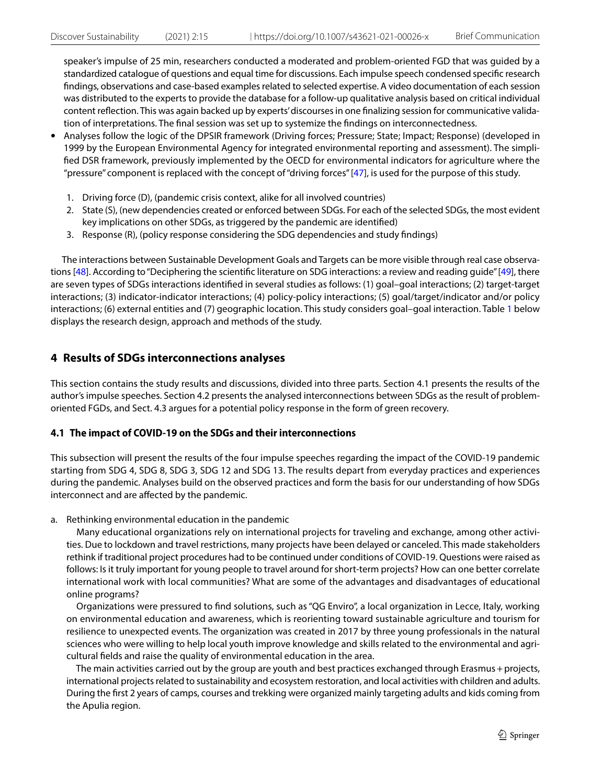speaker's impulse of 25 min, researchers conducted a moderated and problem-oriented FGD that was guided by a standardized catalogue of questions and equal time for discussions. Each impulse speech condensed specifc research fndings, observations and case-based examples related to selected expertise. A video documentation of each session was distributed to the experts to provide the database for a follow-up qualitative analysis based on critical individual content refection. This was again backed up by experts' discourses in one fnalizing session for communicative validation of interpretations. The fnal session was set up to systemize the fndings on interconnectedness.

- Analyses follow the logic of the DPSIR framework (Driving forces; Pressure; State; Impact; Response) (developed in 1999 by the European Environmental Agency for integrated environmental reporting and assessment). The simplifed DSR framework, previously implemented by the OECD for environmental indicators for agriculture where the "pressure" component is replaced with the concept of "driving forces" [[47\]](#page-17-7), is used for the purpose of this study.
	- 1. Driving force (D), (pandemic crisis context, alike for all involved countries)
	- 2. State (S), (new dependencies created or enforced between SDGs. For each of the selected SDGs, the most evident key implications on other SDGs, as triggered by the pandemic are identifed)
	- 3. Response (R), (policy response considering the SDG dependencies and study fndings)

The interactions between Sustainable Development Goals and Targets can be more visible through real case observa-tions [\[48\]](#page-17-8). According to "Deciphering the scientific literature on SDG interactions: a review and reading guide" [[49](#page-17-9)], there are seven types of SDGs interactions identifed in several studies as follows: (1) goal–goal interactions; (2) target-target interactions; (3) indicator-indicator interactions; (4) policy-policy interactions; (5) goal/target/indicator and/or policy interactions; (6) external entities and (7) geographic location. This study considers goal–goal interaction. Table [1](#page-7-0) below displays the research design, approach and methods of the study.

# **4 Results of SDGs interconnections analyses**

This section contains the study results and discussions, divided into three parts. Section 4.1 presents the results of the author's impulse speeches. Section 4.2 presents the analysed interconnections between SDGs as the result of problemoriented FGDs, and Sect. 4.3 argues for a potential policy response in the form of green recovery.

# **4.1 The impact of COVID‑19 on the SDGs and their interconnections**

This subsection will present the results of the four impulse speeches regarding the impact of the COVID-19 pandemic starting from SDG 4, SDG 8, SDG 3, SDG 12 and SDG 13. The results depart from everyday practices and experiences during the pandemic. Analyses build on the observed practices and form the basis for our understanding of how SDGs interconnect and are afected by the pandemic.

a. Rethinking environmental education in the pandemic

 Many educational organizations rely on international projects for traveling and exchange, among other activities. Due to lockdown and travel restrictions, many projects have been delayed or canceled. This made stakeholders rethink if traditional project procedures had to be continued under conditions of COVID-19. Questions were raised as follows: Is it truly important for young people to travel around for short-term projects? How can one better correlate international work with local communities? What are some of the advantages and disadvantages of educational online programs?

 Organizations were pressured to fnd solutions, such as "QG Enviro", a local organization in Lecce, Italy, working on environmental education and awareness, which is reorienting toward sustainable agriculture and tourism for resilience to unexpected events. The organization was created in 2017 by three young professionals in the natural sciences who were willing to help local youth improve knowledge and skills related to the environmental and agricultural felds and raise the quality of environmental education in the area.

 The main activities carried out by the group are youth and best practices exchanged through Erasmus+projects, international projects related to sustainability and ecosystem restoration, and local activities with children and adults. During the frst 2 years of camps, courses and trekking were organized mainly targeting adults and kids coming from the Apulia region.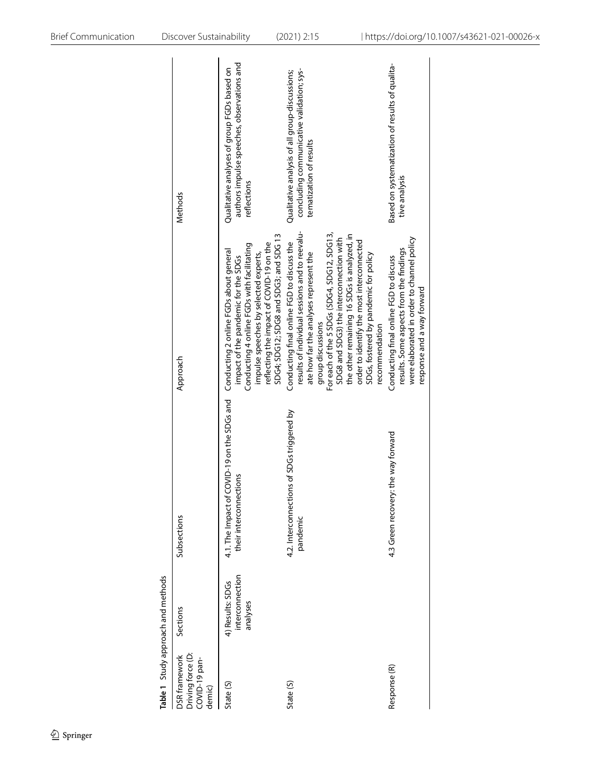<span id="page-7-0"></span>

|                                                               | Table 1 Study approach and methods              |                                                                                                              |                                                                                                                                                                                                                                                                                                                                                                                                              |                                                                                                                        |
|---------------------------------------------------------------|-------------------------------------------------|--------------------------------------------------------------------------------------------------------------|--------------------------------------------------------------------------------------------------------------------------------------------------------------------------------------------------------------------------------------------------------------------------------------------------------------------------------------------------------------------------------------------------------------|------------------------------------------------------------------------------------------------------------------------|
| Driving force (D:<br>DSR framework<br>COVID-19 pan-<br>demic) | Sections                                        | Subsections                                                                                                  | Approach                                                                                                                                                                                                                                                                                                                                                                                                     | Methods                                                                                                                |
| State (S)                                                     | interconnection<br>4) Results: SDGs<br>analyses | 4.1. The Impact of COVID-19 on the SDGs and Conducting 2 online FGDs about general<br>their interconnections | SDG4; SDG12; SDG8 and SDG3; and SDG 13<br>reflecting the impact of COVID-19 on the<br>Conducting 4 online FGDs with facilitating<br>impulse speeches by selected experts,<br>impact of the pandemic for the SDGs                                                                                                                                                                                             | authors impulse speeches, observations and<br>Qualitative analyses of group FGDs based on<br>reflections               |
| State (S)                                                     |                                                 | 4.2. Interconnections of SDGs triggered by<br>pandemic                                                       | results of individual sessions and to reevalu-<br>For each of the 5 SDGs (SDG4, SDG12, SDG13,<br>the other remaining 16 SDGs is analyzed, in<br>SDG8 and SDG3) the interconnection with<br>order to identify the most interconnected<br>Conducting final online FGD to discuss the<br>ate how far the analyses represent the<br>SDGs, fostered by pandemic for policy<br>group discussions<br>recommendation | concluding communicative validation; sys-<br>Qualitative analysis of all group-discussions;<br>tematization of results |
| Response (R)                                                  |                                                 | : the way forward<br>4.3 Green recovery                                                                      | were elaborated in order to channel policy<br>results. Some aspects from the findings<br>Conducting final online FGD to discuss<br>response and a way forward                                                                                                                                                                                                                                                | Based on systematization of results of qualita-<br>tive analysis                                                       |
|                                                               |                                                 |                                                                                                              |                                                                                                                                                                                                                                                                                                                                                                                                              |                                                                                                                        |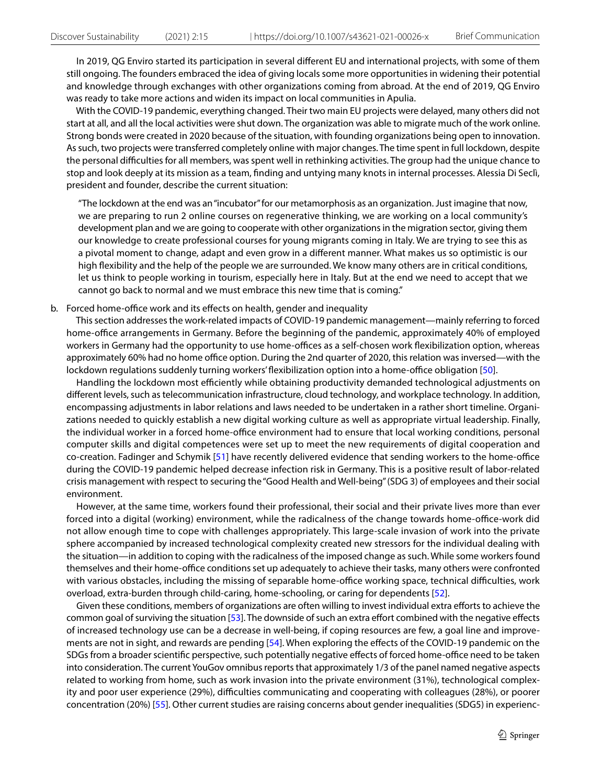In 2019, QG Enviro started its participation in several diferent EU and international projects, with some of them still ongoing. The founders embraced the idea of giving locals some more opportunities in widening their potential and knowledge through exchanges with other organizations coming from abroad. At the end of 2019, QG Enviro was ready to take more actions and widen its impact on local communities in Apulia.

 With the COVID-19 pandemic, everything changed. Their two main EU projects were delayed, many others did not start at all, and all the local activities were shut down. The organization was able to migrate much of the work online. Strong bonds were created in 2020 because of the situation, with founding organizations being open to innovation. As such, two projects were transferred completely online with major changes. The time spent in full lockdown, despite the personal difculties for all members, was spent well in rethinking activities. The group had the unique chance to stop and look deeply at its mission as a team, fnding and untying many knots in internal processes. Alessia Di Seclì, president and founder, describe the current situation:

"The lockdown at the end was an "incubator" for our metamorphosis as an organization. Just imagine that now, we are preparing to run 2 online courses on regenerative thinking, we are working on a local community's development plan and we are going to cooperate with other organizations in the migration sector, giving them our knowledge to create professional courses for young migrants coming in Italy. We are trying to see this as a pivotal moment to change, adapt and even grow in a diferent manner. What makes us so optimistic is our high fexibility and the help of the people we are surrounded. We know many others are in critical conditions, let us think to people working in tourism, especially here in Italy. But at the end we need to accept that we cannot go back to normal and we must embrace this new time that is coming."

### b. Forced home-office work and its effects on health, gender and inequality

 This section addresses the work-related impacts of COVID-19 pandemic management—mainly referring to forced home-office arrangements in Germany. Before the beginning of the pandemic, approximately 40% of employed workers in Germany had the opportunity to use home-offices as a self-chosen work flexibilization option, whereas approximately 60% had no home office option. During the 2nd quarter of 2020, this relation was inversed—with the lockdown regulations suddenly turning workers' flexibilization option into a home-office obligation [[50\]](#page-17-10).

Handling the lockdown most efficiently while obtaining productivity demanded technological adjustments on diferent levels, such as telecommunication infrastructure, cloud technology, and workplace technology. In addition, encompassing adjustments in labor relations and laws needed to be undertaken in a rather short timeline. Organizations needed to quickly establish a new digital working culture as well as appropriate virtual leadership. Finally, the individual worker in a forced home-office environment had to ensure that local working conditions, personal computer skills and digital competences were set up to meet the new requirements of digital cooperation and co-creation. Fadinger and Schymik [[51\]](#page-17-11) have recently delivered evidence that sending workers to the home-office during the COVID-19 pandemic helped decrease infection risk in Germany. This is a positive result of labor-related crisis management with respect to securing the "Good Health and Well-being" (SDG 3) of employees and their social environment.

 However, at the same time, workers found their professional, their social and their private lives more than ever forced into a digital (working) environment, while the radicalness of the change towards home-office-work did not allow enough time to cope with challenges appropriately. This large-scale invasion of work into the private sphere accompanied by increased technological complexity created new stressors for the individual dealing with the situation—in addition to coping with the radicalness of the imposed change as such. While some workers found themselves and their home-office conditions set up adequately to achieve their tasks, many others were confronted with various obstacles, including the missing of separable home-office working space, technical difficulties, work overload, extra-burden through child-caring, home-schooling, or caring for dependents [[52](#page-17-12)].

 Given these conditions, members of organizations are often willing to invest individual extra eforts to achieve the common goal of surviving the situation [[53\]](#page-17-13). The downside of such an extra effort combined with the negative effects of increased technology use can be a decrease in well-being, if coping resources are few, a goal line and improvements are not in sight, and rewards are pending [\[54\]](#page-17-14). When exploring the efects of the COVID-19 pandemic on the SDGs from a broader scientific perspective, such potentially negative effects of forced home-office need to be taken into consideration. The current YouGov omnibus reports that approximately 1/3 of the panel named negative aspects related to working from home, such as work invasion into the private environment (31%), technological complexity and poor user experience (29%), difficulties communicating and cooperating with colleagues (28%), or poorer concentration (20%) [[55\]](#page-17-15). Other current studies are raising concerns about gender inequalities (SDG5) in experienc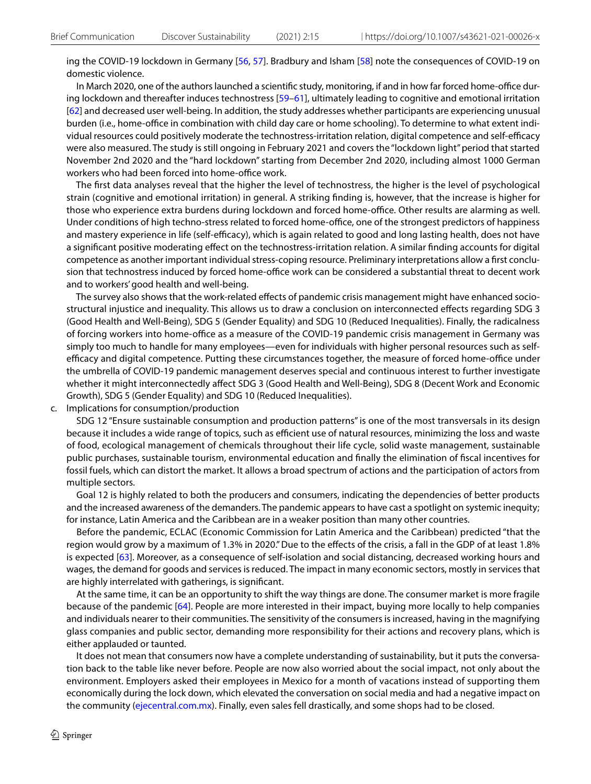ing the COVID-19 lockdown in Germany [\[56,](#page-17-16) [57](#page-17-17)]. Bradbury and Isham [[58](#page-17-18)] note the consequences of COVID-19 on domestic violence.

In March 2020, one of the authors launched a scientific study, monitoring, if and in how far forced home-office during lockdown and thereafter induces technostress [\[59–](#page-17-19)[61](#page-17-20)], ultimately leading to cognitive and emotional irritation [[62](#page-17-21)] and decreased user well-being. In addition, the study addresses whether participants are experiencing unusual burden (i.e., home-office in combination with child day care or home schooling). To determine to what extent individual resources could positively moderate the technostress-irritation relation, digital competence and self-efficacy were also measured. The study is still ongoing in February 2021 and covers the "lockdown light" period that started November 2nd 2020 and the "hard lockdown" starting from December 2nd 2020, including almost 1000 German workers who had been forced into home-office work.

 The frst data analyses reveal that the higher the level of technostress, the higher is the level of psychological strain (cognitive and emotional irritation) in general. A striking fnding is, however, that the increase is higher for those who experience extra burdens during lockdown and forced home-office. Other results are alarming as well. Under conditions of high techno-stress related to forced home-office, one of the strongest predictors of happiness and mastery experience in life (self-efficacy), which is again related to good and long lasting health, does not have a signifcant positive moderating efect on the technostress-irritation relation. A similar fnding accounts for digital competence as another important individual stress-coping resource. Preliminary interpretations allow a frst conclusion that technostress induced by forced home-office work can be considered a substantial threat to decent work and to workers' good health and well-being.

 The survey also shows that the work-related efects of pandemic crisis management might have enhanced sociostructural injustice and inequality. This allows us to draw a conclusion on interconnected efects regarding SDG 3 (Good Health and Well-Being), SDG 5 (Gender Equality) and SDG 10 (Reduced Inequalities). Finally, the radicalness of forcing workers into home-office as a measure of the COVID-19 pandemic crisis management in Germany was simply too much to handle for many employees—even for individuals with higher personal resources such as selfefficacy and digital competence. Putting these circumstances together, the measure of forced home-office under the umbrella of COVID-19 pandemic management deserves special and continuous interest to further investigate whether it might interconnectedly afect SDG 3 (Good Health and Well-Being), SDG 8 (Decent Work and Economic Growth), SDG 5 (Gender Equality) and SDG 10 (Reduced Inequalities).

c. Implications for consumption/production

 SDG 12 "Ensure sustainable consumption and production patterns" is one of the most transversals in its design because it includes a wide range of topics, such as efficient use of natural resources, minimizing the loss and waste of food, ecological management of chemicals throughout their life cycle, solid waste management, sustainable public purchases, sustainable tourism, environmental education and fnally the elimination of fscal incentives for fossil fuels, which can distort the market. It allows a broad spectrum of actions and the participation of actors from multiple sectors.

 Goal 12 is highly related to both the producers and consumers, indicating the dependencies of better products and the increased awareness of the demanders. The pandemic appears to have cast a spotlight on systemic inequity; for instance, Latin America and the Caribbean are in a weaker position than many other countries.

 Before the pandemic, ECLAC (Economic Commission for Latin America and the Caribbean) predicted "that the region would grow by a maximum of 1.3% in 2020." Due to the efects of the crisis, a fall in the GDP of at least 1.8% is expected [\[63\]](#page-17-22). Moreover, as a consequence of self-isolation and social distancing, decreased working hours and wages, the demand for goods and services is reduced. The impact in many economic sectors, mostly in services that are highly interrelated with gatherings, is signifcant.

 At the same time, it can be an opportunity to shift the way things are done. The consumer market is more fragile because of the pandemic [\[64](#page-17-23)]. People are more interested in their impact, buying more locally to help companies and individuals nearer to their communities. The sensitivity of the consumers is increased, having in the magnifying glass companies and public sector, demanding more responsibility for their actions and recovery plans, which is either applauded or taunted.

 It does not mean that consumers now have a complete understanding of sustainability, but it puts the conversation back to the table like never before. People are now also worried about the social impact, not only about the environment. Employers asked their employees in Mexico for a month of vacations instead of supporting them economically during the lock down, which elevated the conversation on social media and had a negative impact on the community [\(ejecentral.com.mx\)](https://www.ejecentral.com.mx/starbucks-y-vips-plantean-a-empleados-un-mes-sin-sueldo-por-covid-19/). Finally, even sales fell drastically, and some shops had to be closed.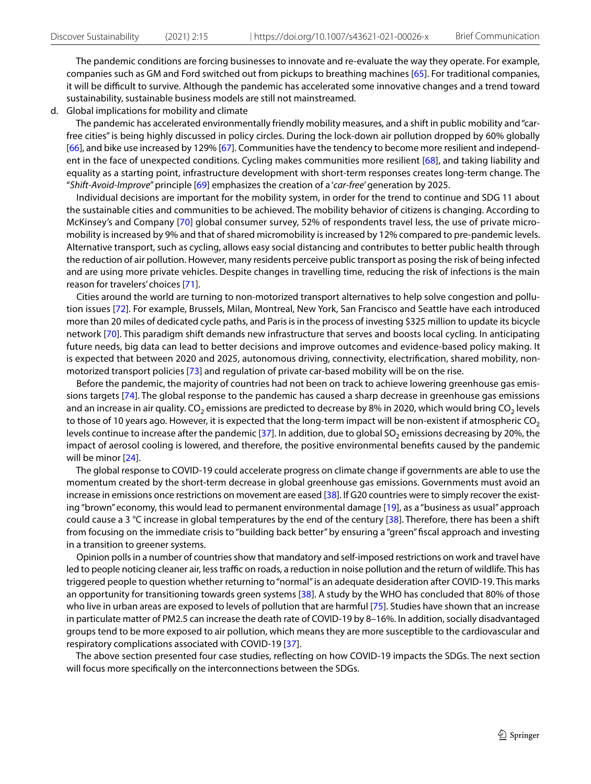The pandemic conditions are forcing businesses to innovate and re-evaluate the way they operate. For example, companies such as GM and Ford switched out from pickups to breathing machines [\[65\]](#page-17-24). For traditional companies, it will be difcult to survive. Although the pandemic has accelerated some innovative changes and a trend toward sustainability, sustainable business models are still not mainstreamed.

d. Global implications for mobility and climate

 The pandemic has accelerated environmentally friendly mobility measures, and a shift in public mobility and "carfree cities" is being highly discussed in policy circles. During the lock-down air pollution dropped by 60% globally [[66](#page-17-25)], and bike use increased by 129% [\[67\]](#page-17-26). Communities have the tendency to become more resilient and independent in the face of unexpected conditions. Cycling makes communities more resilient [[68](#page-17-27)], and taking liability and equality as a starting point, infrastructure development with short-term responses creates long-term change. The "*Shift-Avoid-Improve*" principle [\[69\]](#page-17-28) emphasizes the creation of a '*car-free*' generation by 2025.

 Individual decisions are important for the mobility system, in order for the trend to continue and SDG 11 about the sustainable cities and communities to be achieved. The mobility behavior of citizens is changing. According to McKinsey's and Company [\[70\]](#page-17-29) global consumer survey, 52% of respondents travel less, the use of private micromobility is increased by 9% and that of shared micromobility is increased by 12% compared to pre-pandemic levels. Alternative transport, such as cycling, allows easy social distancing and contributes to better public health through the reduction of air pollution. However, many residents perceive public transport as posing the risk of being infected and are using more private vehicles. Despite changes in travelling time, reducing the risk of infections is the main reason for travelers' choices [[71\]](#page-17-30).

 Cities around the world are turning to non-motorized transport alternatives to help solve congestion and pollution issues [[72\]](#page-17-31). For example, Brussels, Milan, Montreal, New York, San Francisco and Seattle have each introduced more than 20 miles of dedicated cycle paths, and Paris is in the process of investing \$325 million to update its bicycle network [\[70\]](#page-17-29). This paradigm shift demands new infrastructure that serves and boosts local cycling. In anticipating future needs, big data can lead to better decisions and improve outcomes and evidence-based policy making. It is expected that between 2020 and 2025, autonomous driving, connectivity, electrifcation, shared mobility, nonmotorized transport policies [[73](#page-17-32)] and regulation of private car-based mobility will be on the rise.

 Before the pandemic, the majority of countries had not been on track to achieve lowering greenhouse gas emissions targets [[74\]](#page-17-33). The global response to the pandemic has caused a sharp decrease in greenhouse gas emissions and an increase in air quality. CO<sub>2</sub> emissions are predicted to decrease by 8% in 2020, which would bring CO<sub>2</sub> levels to those of 10 years ago. However, it is expected that the long-term impact will be non-existent if atmospheric  $CO<sub>2</sub>$ levels continue to increase after the pandemic [\[37\]](#page-16-30). In addition, due to global SO<sub>2</sub> emissions decreasing by 20%, the impact of aerosol cooling is lowered, and therefore, the positive environmental benefts caused by the pandemic will be minor [[24\]](#page-16-17).

 The global response to COVID-19 could accelerate progress on climate change if governments are able to use the momentum created by the short-term decrease in global greenhouse gas emissions. Governments must avoid an increase in emissions once restrictions on movement are eased [\[38](#page-16-31)]. If G20 countries were to simply recover the existing "brown" economy, this would lead to permanent environmental damage [[19\]](#page-16-12), as a "business as usual" approach could cause a 3 °C increase in global temperatures by the end of the century [[38](#page-16-31)]. Therefore, there has been a shift from focusing on the immediate crisis to "building back better" by ensuring a "green" fscal approach and investing in a transition to greener systems.

 Opinion polls in a number of countries show that mandatory and self-imposed restrictions on work and travel have led to people noticing cleaner air, less traffic on roads, a reduction in noise pollution and the return of wildlife. This has triggered people to question whether returning to "normal" is an adequate desideration after COVID-19. This marks an opportunity for transitioning towards green systems [[38\]](#page-16-31). A study by the WHO has concluded that 80% of those who live in urban areas are exposed to levels of pollution that are harmful [\[75\]](#page-17-34). Studies have shown that an increase in particulate matter of PM2.5 can increase the death rate of COVID-19 by 8–16%. In addition, socially disadvantaged groups tend to be more exposed to air pollution, which means they are more susceptible to the cardiovascular and respiratory complications associated with COVID-19 [[37\]](#page-16-30).

 The above section presented four case studies, refecting on how COVID-19 impacts the SDGs. The next section will focus more specifcally on the interconnections between the SDGs.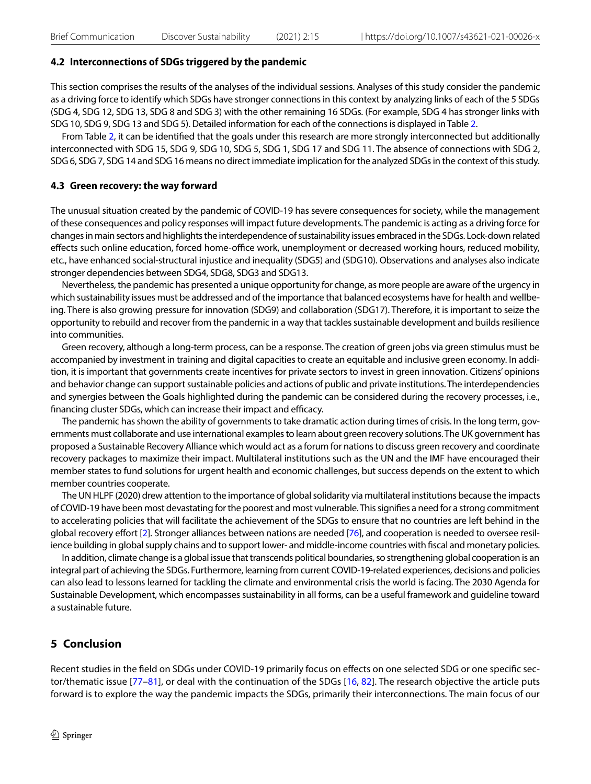### **4.2 Interconnections of SDGs triggered by the pandemic**

This section comprises the results of the analyses of the individual sessions. Analyses of this study consider the pandemic as a driving force to identify which SDGs have stronger connections in this context by analyzing links of each of the 5 SDGs (SDG 4, SDG 12, SDG 13, SDG 8 and SDG 3) with the other remaining 16 SDGs. (For example, SDG 4 has stronger links with SDG 10, SDG 9, SDG 13 and SDG 5). Detailed information for each of the connections is displayed in Table [2.](#page-12-0)

From Table [2,](#page-12-0) it can be identifed that the goals under this research are more strongly interconnected but additionally interconnected with SDG 15, SDG 9, SDG 10, SDG 5, SDG 1, SDG 17 and SDG 11. The absence of connections with SDG 2, SDG 6, SDG 7, SDG 14 and SDG 16 means no direct immediate implication for the analyzed SDGs in the context of this study.

#### **4.3 Green recovery: the way forward**

The unusual situation created by the pandemic of COVID-19 has severe consequences for society, while the management of these consequences and policy responses will impact future developments. The pandemic is acting as a driving force for changes in main sectors and highlights the interdependence of sustainability issues embraced in the SDGs. Lock-down related effects such online education, forced home-office work, unemployment or decreased working hours, reduced mobility, etc., have enhanced social-structural injustice and inequality (SDG5) and (SDG10). Observations and analyses also indicate stronger dependencies between SDG4, SDG8, SDG3 and SDG13.

Nevertheless, the pandemic has presented a unique opportunity for change, as more people are aware of the urgency in which sustainability issues must be addressed and of the importance that balanced ecosystems have for health and wellbeing. There is also growing pressure for innovation (SDG9) and collaboration (SDG17). Therefore, it is important to seize the opportunity to rebuild and recover from the pandemic in a way that tackles sustainable development and builds resilience into communities.

Green recovery, although a long-term process, can be a response. The creation of green jobs via green stimulus must be accompanied by investment in training and digital capacities to create an equitable and inclusive green economy. In addition, it is important that governments create incentives for private sectors to invest in green innovation. Citizens' opinions and behavior change can support sustainable policies and actions of public and private institutions. The interdependencies and synergies between the Goals highlighted during the pandemic can be considered during the recovery processes, i.e., financing cluster SDGs, which can increase their impact and efficacy.

The pandemic has shown the ability of governments to take dramatic action during times of crisis. In the long term, governments must collaborate and use international examples to learn about green recovery solutions. The UK government has proposed a Sustainable Recovery Alliance which would act as a forum for nations to discuss green recovery and coordinate recovery packages to maximize their impact. Multilateral institutions such as the UN and the IMF have encouraged their member states to fund solutions for urgent health and economic challenges, but success depends on the extent to which member countries cooperate.

The UN HLPF (2020) drew attention to the importance of global solidarity via multilateral institutions because the impacts of COVID-19 have been most devastating for the poorest and most vulnerable. This signifes a need for a strong commitment to accelerating policies that will facilitate the achievement of the SDGs to ensure that no countries are left behind in the global recovery efort [[2\]](#page-15-1). Stronger alliances between nations are needed [\[76\]](#page-18-0), and cooperation is needed to oversee resilience building in global supply chains and to support lower- and middle-income countries with fscal and monetary policies.

In addition, climate change is a global issue that transcends political boundaries, so strengthening global cooperation is an integral part of achieving the SDGs. Furthermore, learning from current COVID-19-related experiences, decisions and policies can also lead to lessons learned for tackling the climate and environmental crisis the world is facing. The 2030 Agenda for Sustainable Development, which encompasses sustainability in all forms, can be a useful framework and guideline toward a sustainable future.

# **5 Conclusion**

Recent studies in the feld on SDGs under COVID-19 primarily focus on efects on one selected SDG or one specifc sec-tor/thematic issue [[77](#page-18-1)-81], or deal with the continuation of the SDGs [\[16,](#page-16-9) [82\]](#page-18-3). The research objective the article puts forward is to explore the way the pandemic impacts the SDGs, primarily their interconnections. The main focus of our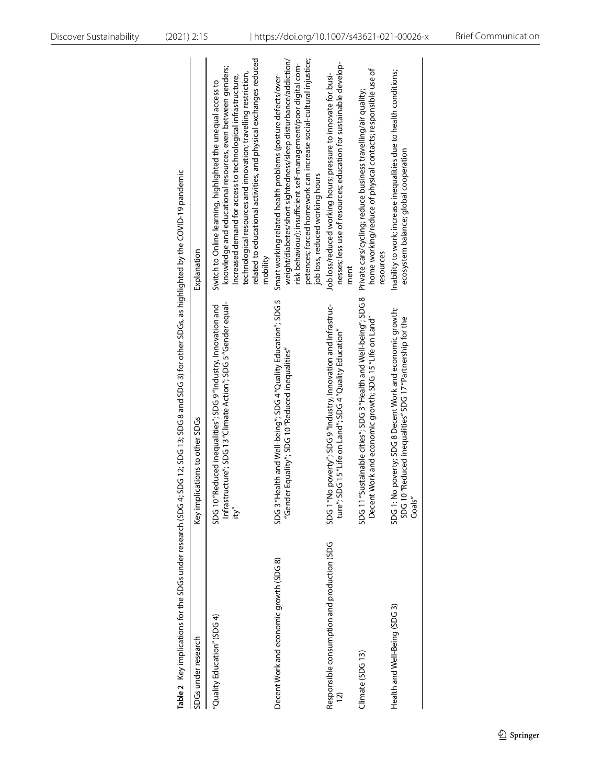| Discover Sustainability | $(2021)$ 2:15                                                                       |                                |                                                                                                                                                                                                                                                                                                                                                | https://doi.org/10.1007/s43621-021-00026-x                                                                                                                                                                                                                                                                |                                                                                                                                             |                                                                                                                                            |                                                                                                                                  | <b>Brief Communication</b> |
|-------------------------|-------------------------------------------------------------------------------------|--------------------------------|------------------------------------------------------------------------------------------------------------------------------------------------------------------------------------------------------------------------------------------------------------------------------------------------------------------------------------------------|-----------------------------------------------------------------------------------------------------------------------------------------------------------------------------------------------------------------------------------------------------------------------------------------------------------|---------------------------------------------------------------------------------------------------------------------------------------------|--------------------------------------------------------------------------------------------------------------------------------------------|----------------------------------------------------------------------------------------------------------------------------------|----------------------------|
|                         |                                                                                     | Explanation                    | related to educational activities, and physical exchanges reduced<br>knowledge and educational resources, even between genders;<br>technological resources and innovation; travelling restriction,<br>Increased demand for access to technological infrastructure,<br>Switch to Online learning, highlighted the unequal access to<br>mobility | petences; forced homework can increase social-cultural injustice;<br>weight/diabetes/short sightedness/sleep disturbance/addiction/<br>risk behaviour); insufficient self-management/poor digital com-<br>Smart working related health problems (posture defects/over-<br>job loss, reduced working hours | nesses; less use of resources; education for sustainable develop-<br>Job loss/reduced working hours; pressure to innovate for busi-<br>ment | home working/reduce of physical contacts; responsible use of<br>Private cars/cycling; reduce business travelling/air quality;<br>resources | Inability to work; increase inequalities due to health conditions;<br>ecosystem balance; global cooperation                      |                            |
|                         | 2; SDG 13; SDG 8 and SDG 3) for other SDGs, as highlighted by the COVID-19 pandemic | Key implications to other SDGs | Infrastructure"; SDG 13 "Climate Action"; SDG 5 "Gender equal-<br>ed inequalities"; SDG 9"Industry, Innovation and<br>SDG 10 "Reduc<br>ity"                                                                                                                                                                                                    | and Well-being"; SDG 4"Quality Education"; SDG 5<br>"Gender Equality"; SDG 10 "Reduced inequalities"<br>SDG 3"Health                                                                                                                                                                                      | SDG 1 "No poverty"; SDG 9"Industry, Innovation and Infrastruc-<br>ture"; SDG 15 "Life on Land"; SDG 4 "Quality Education"                   | SDG 11 "Sustainable cities"; SDG 3 "Health and Well-being"; SDG 8<br>and economic growth; SDG 15 "Life on Land"<br>Decent Work             | SDG 1: No poverty; SDG 8 Decent Work and economic growth;<br>SDG 10 "Reduced inequalities" SDG 17 "Partnership for the<br>Goals" |                            |
|                         | Table 2 Key implications for the SDGs under research (SDG 4; SDG 1                  | SDGs under research            | "Quality Education" (SDG 4)                                                                                                                                                                                                                                                                                                                    | Decent Work and economic growth (SDG 8)                                                                                                                                                                                                                                                                   | Responsible consumption and production (SDG<br><u>12)</u>                                                                                   | Climate (SDG 13)                                                                                                                           | Health and Well-Being (SDG 3)                                                                                                    |                            |

<span id="page-12-0"></span>

| SDGs under research                                           | Key implications to other SDGs                                                                                                                                                                                                                                                                        | Explanation                                                                                                                                                                                                                                                                                                                                    |
|---------------------------------------------------------------|-------------------------------------------------------------------------------------------------------------------------------------------------------------------------------------------------------------------------------------------------------------------------------------------------------|------------------------------------------------------------------------------------------------------------------------------------------------------------------------------------------------------------------------------------------------------------------------------------------------------------------------------------------------|
| 'Quality Education" (SDG 4)                                   | hfrastructure"; SDG 13 "Climate Action"; SDG 5 "Gender equal-<br>- المراسية المتحدث المتحدث المتحدث المتحدث المتحدث<br>- المراسية المتحدث المتحدث المتحدث المتحدث المتحدث المتحدث المتحدث المتحدث المتحدث المتحدث المتحدث المتحدث ا<br>SDG 10 "Reduced inequalities"; SDG 9 "Industry, Innovation and | related to educational activities, and physical exchanges reduced<br>knowledge and educational resources, even between genders;<br>technological resources and innovation; travelling restriction,<br>Increased demand for access to technological infrastructure,<br>Switch to Online learning, highlighted the unequal access to<br>mobility |
| Decent Work and economic growth (SDG 8)                       | SDG 3 "Health and Well-being"; SDG 4 "Quality Education"; SDG 5<br>"Gender Equality"; SDG 10 "Reduced inequalities"                                                                                                                                                                                   | weight/diabetes/short sightedness/sleep disturbance/addiction/<br>petences; forced homework can increase social-cultural injustice;<br>risk behaviour); insufficient self-management/poor digital com-<br>Smart working related health problems (posture defects/over-<br>job loss, reduced working hours                                      |
| Responsible consumption and production (SDG<br>$\overline{2}$ | SDG 1 "No poverty"; SDG 9 "Industry, Innovation and Infrastruc-<br>ture"; SDG 15 "Life on Land"; SDG 4 "Quality Education"                                                                                                                                                                            | nesses; less use of resources; education for sustainable develop-<br>Job loss/reduced working hours; pressure to innovate for busi-<br>ment                                                                                                                                                                                                    |
| Climate (SDG13)                                               | SDG 11 "Sustainable cities"; SDG 3 "Health and Well-being"; SDG 8<br>Decent Work and economic growth; SDG 15 "Life on Land"                                                                                                                                                                           | home working/reduce of physical contacts; responsible use of<br>Private cars/cycling; reduce business travelling/air quality;<br>resources                                                                                                                                                                                                     |
| Health and Well-Being (SDG 3)                                 | SDG 1: No poverty; SDG 8 Decent Work and economic growth;<br>SDG 10 "Reduced inequalities" SDG 17 "Partnership for the<br>Goals'                                                                                                                                                                      | Inability to work; increase inequalities due to health conditions;<br>ecosystem balance; global cooperation                                                                                                                                                                                                                                    |
|                                                               |                                                                                                                                                                                                                                                                                                       |                                                                                                                                                                                                                                                                                                                                                |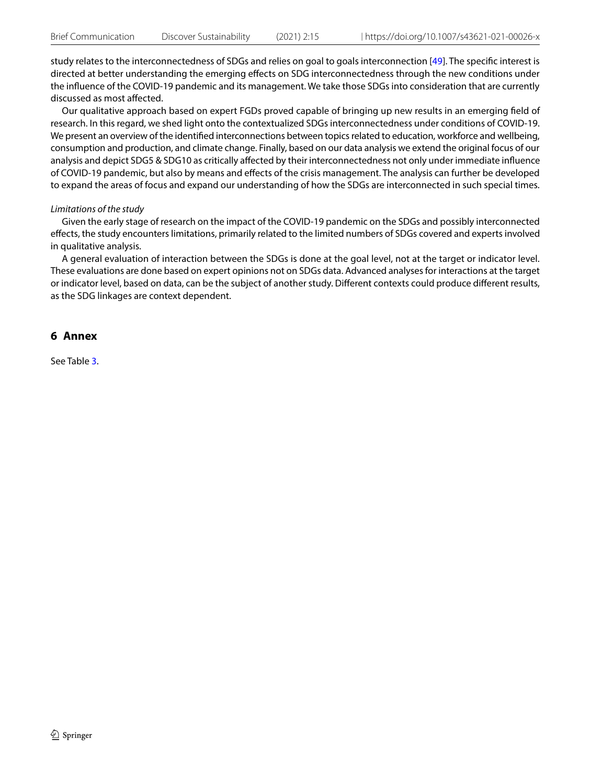study relates to the interconnectedness of SDGs and relies on goal to goals interconnection [[49](#page-17-9)]. The specifc interest is directed at better understanding the emerging efects on SDG interconnectedness through the new conditions under the infuence of the COVID-19 pandemic and its management. We take those SDGs into consideration that are currently discussed as most afected.

Our qualitative approach based on expert FGDs proved capable of bringing up new results in an emerging feld of research. In this regard, we shed light onto the contextualized SDGs interconnectedness under conditions of COVID-19. We present an overview of the identifed interconnections between topics related to education, workforce and wellbeing, consumption and production, and climate change. Finally, based on our data analysis we extend the original focus of our analysis and depict SDG5 & SDG10 as critically affected by their interconnectedness not only under immediate influence of COVID-19 pandemic, but also by means and efects of the crisis management. The analysis can further be developed to expand the areas of focus and expand our understanding of how the SDGs are interconnected in such special times.

### *Limitations of the study*

Given the early stage of research on the impact of the COVID-19 pandemic on the SDGs and possibly interconnected efects, the study encounters limitations, primarily related to the limited numbers of SDGs covered and experts involved in qualitative analysis.

A general evaluation of interaction between the SDGs is done at the goal level, not at the target or indicator level. These evaluations are done based on expert opinions not on SDGs data. Advanced analyses for interactions at the target or indicator level, based on data, can be the subject of another study. Diferent contexts could produce diferent results, as the SDG linkages are context dependent.

# <span id="page-13-0"></span>**6 Annex**

See Table [3](#page-14-0).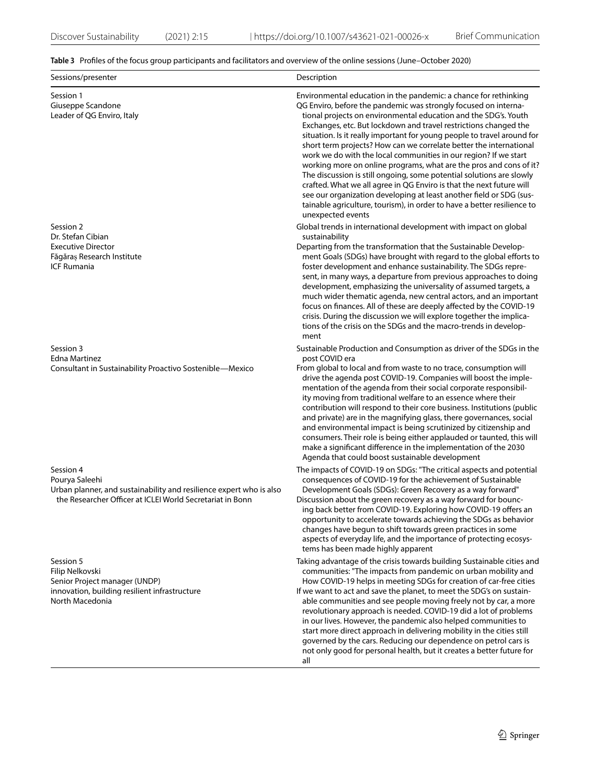# <span id="page-14-0"></span>**Table 3** Profles of the focus group participants and facilitators and overview of the online sessions (June–October 2020)

| Sessions/presenter                                                                                                                                              | Description                                                                                                                                                                                                                                                                                                                                                                                                                                                                                                                                                                                                                                                                                                                                                                                                                                                                                  |
|-----------------------------------------------------------------------------------------------------------------------------------------------------------------|----------------------------------------------------------------------------------------------------------------------------------------------------------------------------------------------------------------------------------------------------------------------------------------------------------------------------------------------------------------------------------------------------------------------------------------------------------------------------------------------------------------------------------------------------------------------------------------------------------------------------------------------------------------------------------------------------------------------------------------------------------------------------------------------------------------------------------------------------------------------------------------------|
| Session 1<br>Giuseppe Scandone<br>Leader of QG Enviro, Italy                                                                                                    | Environmental education in the pandemic: a chance for rethinking<br>QG Enviro, before the pandemic was strongly focused on interna-<br>tional projects on environmental education and the SDG's. Youth<br>Exchanges, etc. But lockdown and travel restrictions changed the<br>situation. Is it really important for young people to travel around for<br>short term projects? How can we correlate better the international<br>work we do with the local communities in our region? If we start<br>working more on online programs, what are the pros and cons of it?<br>The discussion is still ongoing, some potential solutions are slowly<br>crafted. What we all agree in QG Enviro is that the next future will<br>see our organization developing at least another field or SDG (sus-<br>tainable agriculture, tourism), in order to have a better resilience to<br>unexpected events |
| Session 2<br>Dr. Stefan Cibian<br><b>Executive Director</b><br>Făgăraș Research Institute<br><b>ICF Rumania</b>                                                 | Global trends in international development with impact on global<br>sustainability<br>Departing from the transformation that the Sustainable Develop-<br>ment Goals (SDGs) have brought with regard to the global efforts to<br>foster development and enhance sustainability. The SDGs repre-<br>sent, in many ways, a departure from previous approaches to doing<br>development, emphasizing the universality of assumed targets, a<br>much wider thematic agenda, new central actors, and an important<br>focus on finances. All of these are deeply affected by the COVID-19<br>crisis. During the discussion we will explore together the implica-<br>tions of the crisis on the SDGs and the macro-trends in develop-<br>ment                                                                                                                                                         |
| Session 3<br><b>Edna Martinez</b><br>Consultant in Sustainability Proactivo Sostenible—Mexico                                                                   | Sustainable Production and Consumption as driver of the SDGs in the<br>post COVID era<br>From global to local and from waste to no trace, consumption will<br>drive the agenda post COVID-19. Companies will boost the imple-<br>mentation of the agenda from their social corporate responsibil-<br>ity moving from traditional welfare to an essence where their<br>contribution will respond to their core business. Institutions (public<br>and private) are in the magnifying glass, there governances, social<br>and environmental impact is being scrutinized by citizenship and<br>consumers. Their role is being either applauded or taunted, this will<br>make a significant difference in the implementation of the 2030<br>Agenda that could boost sustainable development                                                                                                       |
| Session 4<br>Pourya Saleehi<br>Urban planner, and sustainability and resilience expert who is also<br>the Researcher Officer at ICLEI World Secretariat in Bonn | The impacts of COVID-19 on SDGs: "The critical aspects and potential<br>consequences of COVID-19 for the achievement of Sustainable<br>Development Goals (SDGs): Green Recovery as a way forward"<br>Discussion about the green recovery as a way forward for bounc-<br>ing back better from COVID-19. Exploring how COVID-19 offers an<br>opportunity to accelerate towards achieving the SDGs as behavior<br>changes have begun to shift towards green practices in some<br>aspects of everyday life, and the importance of protecting ecosys-<br>tems has been made highly apparent                                                                                                                                                                                                                                                                                                       |
| Session 5<br>Filip Nelkovski<br>Senior Project manager (UNDP)<br>innovation, building resilient infrastructure<br>North Macedonia                               | Taking advantage of the crisis towards building Sustainable cities and<br>communities: "The impacts from pandemic on urban mobility and<br>How COVID-19 helps in meeting SDGs for creation of car-free cities<br>If we want to act and save the planet, to meet the SDG's on sustain-<br>able communities and see people moving freely not by car, a more<br>revolutionary approach is needed. COVID-19 did a lot of problems<br>in our lives. However, the pandemic also helped communities to<br>start more direct approach in delivering mobility in the cities still<br>governed by the cars. Reducing our dependence on petrol cars is<br>not only good for personal health, but it creates a better future for<br>all                                                                                                                                                                  |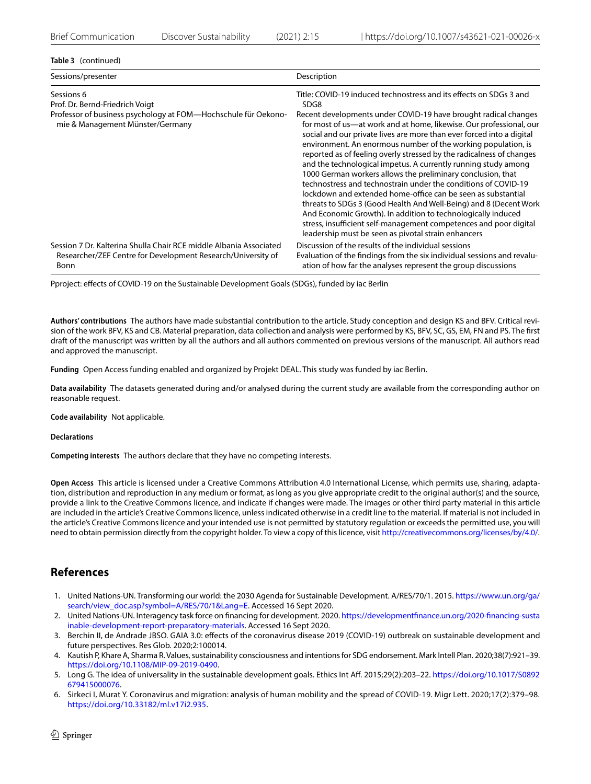# **Table 3** (continued)

| Sessions/presenter                                                                                                                                  | Description                                                                                                                                                                                                                                                                                                                                                                                                                                                                                                                                                                                                                                                                                                                                                                                                                                                                                                                                                                |
|-----------------------------------------------------------------------------------------------------------------------------------------------------|----------------------------------------------------------------------------------------------------------------------------------------------------------------------------------------------------------------------------------------------------------------------------------------------------------------------------------------------------------------------------------------------------------------------------------------------------------------------------------------------------------------------------------------------------------------------------------------------------------------------------------------------------------------------------------------------------------------------------------------------------------------------------------------------------------------------------------------------------------------------------------------------------------------------------------------------------------------------------|
| Sessions 6<br>Prof. Dr. Bernd-Friedrich Voigt<br>Professor of business psychology at FOM—Hochschule für Oekono-<br>mie & Management Münster/Germany | Title: COVID-19 induced technostress and its effects on SDGs 3 and<br>SDG8<br>Recent developments under COVID-19 have brought radical changes<br>for most of us-at work and at home, likewise. Our professional, our<br>social and our private lives are more than ever forced into a digital<br>environment. An enormous number of the working population, is<br>reported as of feeling overly stressed by the radicalness of changes<br>and the technological impetus. A currently running study among<br>1000 German workers allows the preliminary conclusion, that<br>technostress and technostrain under the conditions of COVID-19<br>lockdown and extended home-office can be seen as substantial<br>threats to SDGs 3 (Good Health And Well-Being) and 8 (Decent Work<br>And Economic Growth). In addition to technologically induced<br>stress, insufficient self-management competences and poor digital<br>leadership must be seen as pivotal strain enhancers |
| Session 7 Dr. Kalterina Shulla Chair RCE middle Albania Associated<br>Researcher/ZEF Centre for Development Research/University of<br>Bonn          | Discussion of the results of the individual sessions<br>Evaluation of the findings from the six individual sessions and revalu-<br>ation of how far the analyses represent the group discussions                                                                                                                                                                                                                                                                                                                                                                                                                                                                                                                                                                                                                                                                                                                                                                           |

Pproject: efects of COVID-19 on the Sustainable Development Goals (SDGs), funded by iac Berlin

**Authors' contributions** The authors have made substantial contribution to the article. Study conception and design KS and BFV. Critical revision of the work BFV, KS and CB. Material preparation, data collection and analysis were performed by KS, BFV, SC, GS, EM, FN and PS. The frst draft of the manuscript was written by all the authors and all authors commented on previous versions of the manuscript. All authors read and approved the manuscript.

**Funding** Open Access funding enabled and organized by Projekt DEAL. This study was funded by iac Berlin.

**Data availability** The datasets generated during and/or analysed during the current study are available from the corresponding author on reasonable request.

**Code availability** Not applicable.

**Declarations**

**Competing interests** The authors declare that they have no competing interests.

**Open Access** This article is licensed under a Creative Commons Attribution 4.0 International License, which permits use, sharing, adaptation, distribution and reproduction in any medium or format, as long as you give appropriate credit to the original author(s) and the source, provide a link to the Creative Commons licence, and indicate if changes were made. The images or other third party material in this article are included in the article's Creative Commons licence, unless indicated otherwise in a credit line to the material. If material is not included in the article's Creative Commons licence and your intended use is not permitted by statutory regulation or exceeds the permitted use, you will need to obtain permission directly from the copyright holder. To view a copy of this licence, visit<http://creativecommons.org/licenses/by/4.0/>.

# **References**

- <span id="page-15-0"></span>1. United Nations-UN. Transforming our world: the 2030 Agenda for Sustainable Development. A/RES/70/1. 2015. [https://www.un.org/ga/](https://www.un.org/ga/search/view_doc.asp?symbol=A/RES/70/1&Lang=E) [search/view\\_doc.asp?symbol=A/RES/70/1&Lang=E.](https://www.un.org/ga/search/view_doc.asp?symbol=A/RES/70/1&Lang=E) Accessed 16 Sept 2020.
- <span id="page-15-1"></span>2. United Nations-UN. Interagency task force on fnancing for development. 2020. [https://developmentfnance.un.org/2020-fnancing-susta](https://developmentfinance.un.org/2020-financing-sustainable-development-report-preparatory-materials) [inable-development-report-preparatory-materials.](https://developmentfinance.un.org/2020-financing-sustainable-development-report-preparatory-materials) Accessed 16 Sept 2020.
- <span id="page-15-2"></span>3. Berchin II, de Andrade JBSO. GAIA 3.0: efects of the coronavirus disease 2019 (COVID-19) outbreak on sustainable development and future perspectives. Res Glob. 2020;2:100014.
- <span id="page-15-3"></span>4. Kautish P, Khare A, Sharma R. Values, sustainability consciousness and intentions for SDG endorsement. Mark Intell Plan. 2020;38(7):921–39. <https://doi.org/10.1108/MIP-09-2019-0490>.
- <span id="page-15-4"></span>5. Long G. The idea of universality in the sustainable development goals. Ethics Int Af. 2015;29(2):203–22. [https://doi.org/10.1017/S0892](https://doi.org/10.1017/S0892679415000076) [679415000076.](https://doi.org/10.1017/S0892679415000076)
- <span id="page-15-5"></span>6. Sirkeci I, Murat Y. Coronavirus and migration: analysis of human mobility and the spread of COVID-19. Migr Lett. 2020;17(2):379–98. <https://doi.org/10.33182/ml.v17i2.935>.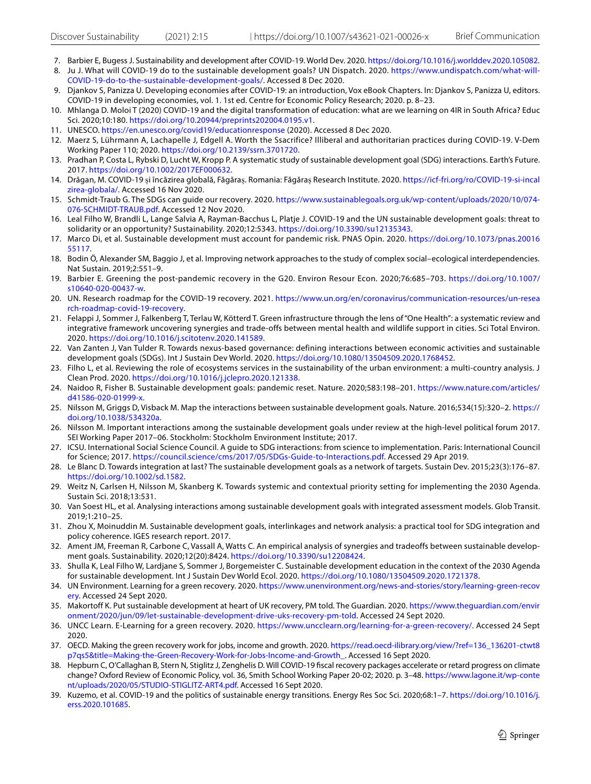- <span id="page-16-1"></span><span id="page-16-0"></span>7. Barbier E, Bugess J. Sustainability and development after COVID-19. World Dev. 2020.<https://doi.org/10.1016/j.worlddev.2020.105082>. 8. Ju J. What will COVID-19 do to the sustainable development goals? UN Dispatch. 2020. [https://www.undispatch.com/what-will-](https://www.undispatch.com/what-will-COVID-19-do-to-the-sustainable-development-goals/)
- [COVID-19-do-to-the-sustainable-development-goals/](https://www.undispatch.com/what-will-COVID-19-do-to-the-sustainable-development-goals/). Accessed 8 Dec 2020. 9. Djankov S, Panizza U. Developing economies after COVID-19: an introduction, Vox eBook Chapters. In: Djankov S, Panizza U, editors.
- <span id="page-16-2"></span>COVID-19 in developing economies, vol. 1. 1st ed. Centre for Economic Policy Research; 2020. p. 8–23.
- <span id="page-16-3"></span>10. Mhlanga D. Moloi T (2020) COVID-19 and the digital transformation of education: what are we learning on 4IR in South Africa? Educ Sci. 2020;10:180. <https://doi.org/10.20944/preprints202004.0195.v1>.
- <span id="page-16-4"></span>11. UNESCO. <https://en.unesco.org/covid19/educationresponse>(2020). Accessed 8 Dec 2020.
- <span id="page-16-5"></span>12. Maerz S, Lührmann A, Lachapelle J, Edgell A. Worth the Ssacrifice? Illiberal and authoritarian practices during COVID-19. V-Dem Working Paper 110; 2020. <https://doi.org/10.2139/ssrn.3701720>.
- <span id="page-16-6"></span>13. Pradhan P, Costa L, Rybski D, Lucht W, Kropp P. A systematic study of sustainable development goal (SDG) interactions. Earth's Future. 2017. [https://doi.org/10.1002/2017EF000632.](https://doi.org/10.1002/2017EF000632)
- <span id="page-16-7"></span>14. Drăgan, M. COVID-19 și încăzirea globală, Făgăraș. Romania: Făgăraș Research Institute. 2020. [https://icf-fri.org/ro/COVID-19-si-incal](https://icf-fri.org/ro/COVID-19-si-incalzirea-globala/) [zirea-globala/.](https://icf-fri.org/ro/COVID-19-si-incalzirea-globala/) Accessed 16 Nov 2020.
- <span id="page-16-8"></span>15. Schmidt-Traub G. The SDGs can guide our recovery. 2020. [https://www.sustainablegoals.org.uk/wp-content/uploads/2020/10/074-](https://www.sustainablegoals.org.uk/wp-content/uploads/2020/10/074-076-SCHMIDT-TRAUB.pdf) [076-SCHMIDT-TRAUB.pdf](https://www.sustainablegoals.org.uk/wp-content/uploads/2020/10/074-076-SCHMIDT-TRAUB.pdf). Accessed 12 Nov 2020.
- <span id="page-16-9"></span>16. Leal Filho W, Brandli L, Lange Salvia A, Rayman-Bacchus L, Platje J. COVID-19 and the UN sustainable development goals: threat to solidarity or an opportunity? Sustainability. 2020;12:5343. <https://doi.org/10.3390/su12135343>.
- <span id="page-16-10"></span>17. Marco Di, et al. Sustainable development must account for pandemic risk. PNAS Opin. 2020. [https://doi.org/10.1073/pnas.20016](https://doi.org/10.1073/pnas.2001655117) [55117.](https://doi.org/10.1073/pnas.2001655117)
- <span id="page-16-11"></span>18. Bodin Ö, Alexander SM, Baggio J, et al. Improving network approaches to the study of complex social–ecological interdependencies. Nat Sustain. 2019;2:551–9.
- <span id="page-16-12"></span>19. Barbier E. Greening the post-pandemic recovery in the G20. Environ Resour Econ. 2020;76:685–703. [https://doi.org/10.1007/](https://doi.org/10.1007/s10640-020-00437-w) [s10640-020-00437-w.](https://doi.org/10.1007/s10640-020-00437-w)
- <span id="page-16-13"></span>20. UN. Research roadmap for the COVID-19 recovery. 2021. [https://www.un.org/en/coronavirus/communication-resources/un-resea](https://www.un.org/en/coronavirus/communication-resources/un-research-roadmap-covid-19-recovery) [rch-roadmap-covid-19-recovery.](https://www.un.org/en/coronavirus/communication-resources/un-research-roadmap-covid-19-recovery)
- <span id="page-16-14"></span>21. Felappi J, Sommer J, Falkenberg T, Terlau W, Kötterd T. Green infrastructure through the lens of "One Health": a systematic review and integrative framework uncovering synergies and trade-offs between mental health and wildlife support in cities. Sci Total Environ. 2020. <https://doi.org/10.1016/j.scitotenv.2020.141589>.
- <span id="page-16-15"></span>22. Van Zanten J, Van Tulder R. Towards nexus-based governance: defining interactions between economic activities and sustainable development goals (SDGs). Int J Sustain Dev World. 2020. [https://doi.org/10.1080/13504509.2020.1768452.](https://doi.org/10.1080/13504509.2020.1768452)
- <span id="page-16-16"></span>23. Filho L, et al. Reviewing the role of ecosystems services in the sustainability of the urban environment: a multi-country analysis. J Clean Prod. 2020. [https://doi.org/10.1016/j.jclepro.2020.121338.](https://doi.org/10.1016/j.jclepro.2020.121338)
- <span id="page-16-17"></span>24. Naidoo R, Fisher B. Sustainable development goals: pandemic reset. Nature. 2020;583:198–201. [https://www.nature.com/articles/](https://www.nature.com/articles/d41586-020-01999-x) [d41586-020-01999-x](https://www.nature.com/articles/d41586-020-01999-x).
- <span id="page-16-18"></span>25. Nilsson M, Griggs D, Visback M. Map the interactions between sustainable development goals. Nature. 2016;534(15):320–2. [https://](https://doi.org/10.1038/534320a) [doi.org/10.1038/534320a.](https://doi.org/10.1038/534320a)
- <span id="page-16-19"></span>26. Nilsson M. Important interactions among the sustainable development goals under review at the high-level political forum 2017. SEI Working Paper 2017–06. Stockholm: Stockholm Environment Institute; 2017.
- <span id="page-16-20"></span>27. ICSU. International Social Science Council. A guide to SDG interactions: from science to implementation. Paris: International Council for Science; 2017. <https://council.science/cms/2017/05/SDGs-Guide-to-Interactions.pdf>. Accessed 29 Apr 2019.
- <span id="page-16-21"></span>28. Le Blanc D. Towards integration at last? The sustainable development goals as a network of targets. Sustain Dev. 2015;23(3):176–87. <https://doi.org/10.1002/sd.1582>.
- <span id="page-16-22"></span>29. Weitz N, Carlsen H, Nilsson M, Skanberg K. Towards systemic and contextual priority setting for implementing the 2030 Agenda. Sustain Sci. 2018;13:531.
- <span id="page-16-23"></span>30. Van Soest HL, et al. Analysing interactions among sustainable development goals with integrated assessment models. Glob Transit. 2019;1:210–25.
- <span id="page-16-24"></span>31. Zhou X, Moinuddin M. Sustainable development goals, interlinkages and network analysis: a practical tool for SDG integration and policy coherence. IGES research report. 2017.
- <span id="page-16-25"></span>32. Ament JM, Freeman R, Carbone C, Vassall A, Watts C. An empirical analysis of synergies and tradeoffs between sustainable development goals. Sustainability. 2020;12(20):8424. <https://doi.org/10.3390/su12208424>.
- <span id="page-16-26"></span>33. Shulla K, Leal Filho W, Lardjane S, Sommer J, Borgemeister C. Sustainable development education in the context of the 2030 Agenda for sustainable development. Int J Sustain Dev World Ecol. 2020. <https://doi.org/10.1080/13504509.2020.1721378>.
- <span id="page-16-27"></span>34. UN Environment. Learning for a green recovery. 2020. [https://www.unenvironment.org/news-and-stories/story/learning-green-recov](https://www.unenvironment.org/news-and-stories/story/learning-green-recovery) [ery](https://www.unenvironment.org/news-and-stories/story/learning-green-recovery). Accessed 24 Sept 2020.
- <span id="page-16-28"></span>35. Makortoff K. Put sustainable development at heart of UK recovery, PM told. The Guardian. 2020. [https://www.theguardian.com/envir](https://www.theguardian.com/environment/2020/jun/09/let-sustainable-development-drive-uks-recovery-pm-told) [onment/2020/jun/09/let-sustainable-development-drive-uks-recovery-pm-told](https://www.theguardian.com/environment/2020/jun/09/let-sustainable-development-drive-uks-recovery-pm-told). Accessed 24 Sept 2020.
- <span id="page-16-29"></span>36. UNCC Learn. E-Learning for a green recovery. 2020. [https://www.uncclearn.org/learning-for-a-green-recovery/.](https://www.uncclearn.org/learning-for-a-green-recovery/) Accessed 24 Sept 2020.
- <span id="page-16-30"></span>37. OECD. Making the green recovery work for jobs, income and growth. 2020. https://read.oecd-ilibrary.org/view/?ref=136 136201-ctwt8 [p7qs5&title=Making-the-Green-Recovery-Work-for-Jobs-Income-and-Growth\\_.](https://read.oecd-ilibrary.org/view/?ref=136_136201-ctwt8p7qs5&title=Making-the-Green-Recovery-Work-for-Jobs-Income-and-Growth_) Accessed 16 Sept 2020.
- <span id="page-16-31"></span>38. Hepburn C, O'Callaghan B, Stern N, Stiglitz J, Zenghelis D. Will COVID-19 fscal recovery packages accelerate or retard progress on climate change? Oxford Review of Economic Policy, vol. 36, Smith School Working Paper 20-02; 2020. p. 3–48. [https://www.lagone.it/wp-conte](https://www.lagone.it/wp-content/uploads/2020/05/STUDIO-STIGLITZ-ART4.pdf) [nt/uploads/2020/05/STUDIO-STIGLITZ-ART4.pdf.](https://www.lagone.it/wp-content/uploads/2020/05/STUDIO-STIGLITZ-ART4.pdf) Accessed 16 Sept 2020.
- <span id="page-16-32"></span>39. Kuzemo, et al. COVID-19 and the politics of sustainable energy transitions. Energy Res Soc Sci. 2020;68:1–7. [https://doi.org/10.1016/j.](https://doi.org/10.1016/j.erss.2020.101685) [erss.2020.101685](https://doi.org/10.1016/j.erss.2020.101685).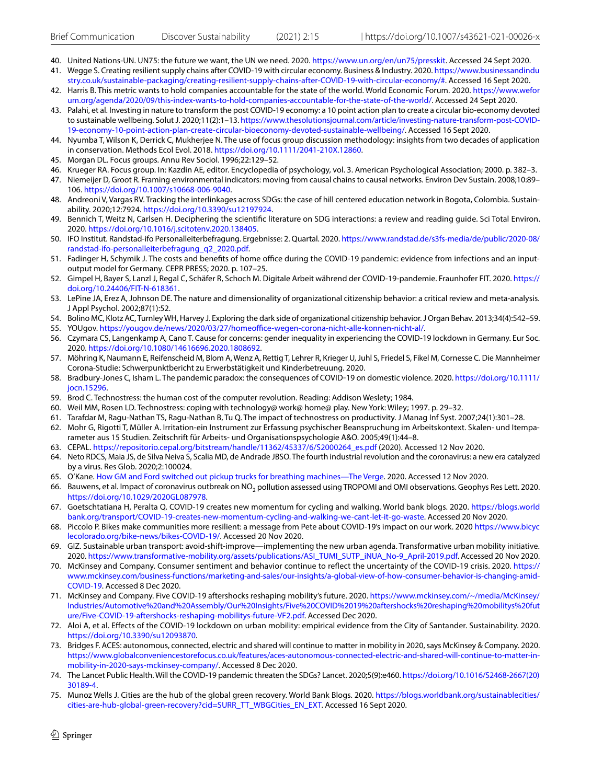- <span id="page-17-1"></span><span id="page-17-0"></span>40. United Nations-UN. UN75: the future we want, the UN we need. 2020. <https://www.un.org/en/un75/presskit>. Accessed 24 Sept 2020. 41. Wegge S. Creating resilient supply chains after COVID-19 with circular economy. Business & Industry. 2020. [https://www.businessandindu](https://www.businessandindustry.co.uk/sustainable-packaging/creating-resilient-supply-chains-after-COVID-19-with-circular-economy/#)
- [stry.co.uk/sustainable-packaging/creating-resilient-supply-chains-after-COVID-19-with-circular-economy/#.](https://www.businessandindustry.co.uk/sustainable-packaging/creating-resilient-supply-chains-after-COVID-19-with-circular-economy/#) Accessed 16 Sept 2020.
- <span id="page-17-2"></span>42. Harris B. This metric wants to hold companies accountable for the state of the world. World Economic Forum. 2020. [https://www.wefor](https://www.weforum.org/agenda/2020/09/this-index-wants-to-hold-companies-accountable-for-the-state-of-the-world/) [um.org/agenda/2020/09/this-index-wants-to-hold-companies-accountable-for-the-state-of-the-world/](https://www.weforum.org/agenda/2020/09/this-index-wants-to-hold-companies-accountable-for-the-state-of-the-world/). Accessed 24 Sept 2020.
- <span id="page-17-3"></span>43. Palahi, et al. Investing in nature to transform the post COVID-19 economy: a 10 point action plan to create a circular bio-economy devoted to sustainable wellbeing. Solut J. 2020;11(2):1–13. [https://www.thesolutionsjournal.com/article/investing-nature-transform-post-COVID-](https://www.thesolutionsjournal.com/article/investing-nature-transform-post-COVID-19-economy-10-point-action-plan-create-circular-bioeconomy-devoted-sustainable-wellbeing/)[19-economy-10-point-action-plan-create-circular-bioeconomy-devoted-sustainable-wellbeing/](https://www.thesolutionsjournal.com/article/investing-nature-transform-post-COVID-19-economy-10-point-action-plan-create-circular-bioeconomy-devoted-sustainable-wellbeing/). Accessed 16 Sept 2020.
- <span id="page-17-4"></span>44. Nyumba T, Wilson K, Derrick C, Mukherjee N. The use of focus group discussion methodology: insights from two decades of application in conservation. Methods Ecol Evol. 2018.<https://doi.org/10.1111/2041-210X.12860>.
- <span id="page-17-5"></span>45. Morgan DL. Focus groups. Annu Rev Sociol. 1996;22:129–52.
- <span id="page-17-6"></span>46. Krueger RA. Focus group. In: Kazdin AE, editor. Encyclopedia of psychology, vol. 3. American Psychological Association; 2000. p. 382–3.
- <span id="page-17-7"></span>47. Niemeijer D, Groot R. Framing environmental indicators: moving from causal chains to causal networks. Environ Dev Sustain. 2008;10:89– 106. <https://doi.org/10.1007/s10668-006-9040>.
- <span id="page-17-8"></span>48. Andreoni V, Vargas RV. Tracking the interlinkages across SDGs: the case of hill centered education network in Bogota, Colombia. Sustainability. 2020;12:7924. [https://doi.org/10.3390/su12197924.](https://doi.org/10.3390/su12197924)
- <span id="page-17-9"></span>49. Bennich T, Weitz N, Carlsen H. Deciphering the scientifc literature on SDG interactions: a review and reading guide. Sci Total Environ. 2020. [https://doi.org/10.1016/j.scitotenv.2020.138405.](https://doi.org/10.1016/j.scitotenv.2020.138405)
- <span id="page-17-10"></span>50. IFO Institut. Randstad-ifo Personalleiterbefragung. Ergebnisse: 2. Quartal. 2020. [https://www.randstad.de/s3fs-media/de/public/2020-08/](https://www.randstad.de/s3fs-media/de/public/2020-08/randstad-ifo-personalleiterbefragung_q2_2020.pdf) [randstad-ifo-personalleiterbefragung\\_q2\\_2020.pdf](https://www.randstad.de/s3fs-media/de/public/2020-08/randstad-ifo-personalleiterbefragung_q2_2020.pdf).
- <span id="page-17-11"></span>51. Fadinger H, Schymik J. The costs and benefits of home office during the COVID-19 pandemic: evidence from infections and an inputoutput model for Germany. CEPR PRESS; 2020. p. 107–25.
- <span id="page-17-12"></span>52. Gimpel H, Bayer S, Lanzl J, Regal C, Schäfer R, Schoch M. Digitale Arbeit während der COVID-19-pandemie. Fraunhofer FIT. 2020. [https://](https://doi.org/10.24406/FIT-N-618361) [doi.org/10.24406/FIT-N-618361](https://doi.org/10.24406/FIT-N-618361).
- <span id="page-17-13"></span>53. LePine JA, Erez A, Johnson DE. The nature and dimensionality of organizational citizenship behavior: a critical review and meta-analysis. J Appl Psychol. 2002;87(1):52.
- <span id="page-17-14"></span>54. Bolino MC, Klotz AC, Turnley WH, Harvey J. Exploring the dark side of organizational citizenship behavior. J Organ Behav. 2013;34(4):542–59.
- <span id="page-17-15"></span>55. YOUgov. https://yougov.de/news/2020/03/27/homeoffice-wegen-corona-nicht-alle-konnen-nicht-al/.
- <span id="page-17-16"></span>56. Czymara CS, Langenkamp A, Cano T. Cause for concerns: gender inequality in experiencing the COVID-19 lockdown in Germany. Eur Soc. 2020.<https://doi.org/10.1080/14616696.2020.1808692>.
- <span id="page-17-17"></span>57. Möhring K, Naumann E, Reifenscheid M, Blom A, Wenz A, Rettig T, Lehrer R, Krieger U, Juhl S, Friedel S, Fikel M, Cornesse C. Die Mannheimer Corona-Studie: Schwerpunktbericht zu Erwerbstätigkeit und Kinderbetreuung. 2020.
- <span id="page-17-18"></span>58. Bradbury-Jones C, Isham L. The pandemic paradox: the consequences of COVID‐19 on domestic violence. 2020. [https://doi.org/10.1111/](https://doi.org/10.1111/jocn.15296) [jocn.15296](https://doi.org/10.1111/jocn.15296).
- <span id="page-17-19"></span>59. Brod C. Technostress: the human cost of the computer revolution. Reading: Addison Weslety; 1984.
- 60. Weil MM, Rosen LD. Technostress: coping with technology@ work@ home@ play. New York: Wiley; 1997. p. 29–32.
- <span id="page-17-20"></span>61. Tarafdar M, Ragu-Nathan TS, Ragu-Nathan B, Tu Q. The impact of technostress on productivity. J Manag Inf Syst. 2007;24(1):301–28.
- <span id="page-17-21"></span>62. Mohr G, Rigotti T, Müller A. Irritation-ein Instrument zur Erfassung psychischer Beanspruchung im Arbeitskontext. Skalen- und Itemparameter aus 15 Studien. Zeitschrift für Arbeits- und Organisationspsychologie A&O. 2005;49(1):44–8.
- <span id="page-17-22"></span>63. CEPAL. [https://repositorio.cepal.org/bitstream/handle/11362/45337/6/S2000264\\_es.pdf](https://repositorio.cepal.org/bitstream/handle/11362/45337/6/S2000264_es.pdf) (2020). Accessed 12 Nov 2020.
- <span id="page-17-23"></span>64. Neto RDCS, Maia JS, de Silva Neiva S, Scalia MD, de Andrade JBSO. The fourth industrial revolution and the coronavirus: a new era catalyzed by a virus. Res Glob. 2020;2:100024.
- <span id="page-17-24"></span>65. O'Kane. [How GM and Ford switched out pickup trucks for breathing machines—The Verge.](https://www.theverge.com/2020/4/15/21222219/general-motors-ventec-ventilators-ford-tesla-coronavirus-covid-19) 2020. Accessed 12 Nov 2020.
- <span id="page-17-25"></span>66. Bauwens, et al. Impact of coronavirus outbreak on NO<sub>2</sub> pollution assessed using TROPOMI and OMI observations. Geophys Res Lett. 2020. [https://doi.org/10.1029/2020GL087978.](https://doi.org/10.1029/2020GL087978)
- <span id="page-17-26"></span>67. Goetschtatiana H, Peralta Q. COVID-19 creates new momentum for cycling and walking. World bank blogs. 2020. [https://blogs.world](https://blogs.worldbank.org/transport/COVID-19-creates-new-momentum-cycling-and-walking-we-cant-let-it-go-waste) [bank.org/transport/COVID-19-creates-new-momentum-cycling-and-walking-we-cant-let-it-go-waste.](https://blogs.worldbank.org/transport/COVID-19-creates-new-momentum-cycling-and-walking-we-cant-let-it-go-waste) Accessed 20 Nov 2020.
- <span id="page-17-27"></span>68. Piccolo P. Bikes make communities more resilient: a message from Pete about COVID-19's impact on our work. 2020 [https://www.bicyc](https://www.bicyclecolorado.org/bike-news/bikes-COVID-19/) [lecolorado.org/bike-news/bikes-COVID-19/.](https://www.bicyclecolorado.org/bike-news/bikes-COVID-19/) Accessed 20 Nov 2020.
- <span id="page-17-28"></span>69. GIZ. Sustainable urban transport: avoid-shift-improve—implementing the new urban agenda. Transformative urban mobility initiative. 2020. [https://www.transformative-mobility.org/assets/publications/ASI\\_TUMI\\_SUTP\\_iNUA\\_No-9\\_April-2019.pdf](https://www.transformative-mobility.org/assets/publications/ASI_TUMI_SUTP_iNUA_No-9_April-2019.pdf). Accessed 20 Nov 2020.
- <span id="page-17-29"></span>70. McKinsey and Company. Consumer sentiment and behavior continue to refect the uncertainty of the COVID-19 crisis. 2020. [https://](https://www.mckinsey.com/business-functions/marketing-and-sales/our-insights/a-global-view-of-how-consumer-behavior-is-changing-amid-COVID-19) [www.mckinsey.com/business-functions/marketing-and-sales/our-insights/a-global-view-of-how-consumer-behavior-is-changing-amid-](https://www.mckinsey.com/business-functions/marketing-and-sales/our-insights/a-global-view-of-how-consumer-behavior-is-changing-amid-COVID-19)[COVID-19.](https://www.mckinsey.com/business-functions/marketing-and-sales/our-insights/a-global-view-of-how-consumer-behavior-is-changing-amid-COVID-19) Accessed 8 Dec 2020.
- <span id="page-17-30"></span>71. McKinsey and Company. Five COVID-19 aftershocks reshaping mobility's future. 2020. [https://www.mckinsey.com/~/media/McKinsey/](https://www.mckinsey.com/~/media/McKinsey/Industries/Automotive%20and%20Assembly/Our%20Insights/Five%20COVID%2019%20aftershocks%20reshaping%20mobilitys%20future/Five-COVID-19-aftershocks-reshaping-mobilitys-future-VF2.pdf) [Industries/Automotive%20and%20Assembly/Our%20Insights/Five%20COVID%2019%20aftershocks%20reshaping%20mobilitys%20fut](https://www.mckinsey.com/~/media/McKinsey/Industries/Automotive%20and%20Assembly/Our%20Insights/Five%20COVID%2019%20aftershocks%20reshaping%20mobilitys%20future/Five-COVID-19-aftershocks-reshaping-mobilitys-future-VF2.pdf) [ure/Five-COVID-19-aftershocks-reshaping-mobilitys-future-VF2.pdf.](https://www.mckinsey.com/~/media/McKinsey/Industries/Automotive%20and%20Assembly/Our%20Insights/Five%20COVID%2019%20aftershocks%20reshaping%20mobilitys%20future/Five-COVID-19-aftershocks-reshaping-mobilitys-future-VF2.pdf) Accessed Dec 2020.
- <span id="page-17-31"></span>72. Aloi A, et al. Efects of the COVID-19 lockdown on urban mobility: empirical evidence from the City of Santander. Sustainability. 2020. <https://doi.org/10.3390/su12093870>.
- <span id="page-17-32"></span>73. Bridges F. ACES: autonomous, connected, electric and shared will continue to matter in mobility in 2020, says McKinsey & Company. 2020. [https://www.globalconveniencestorefocus.co.uk/features/aces-autonomous-connected-electric-and-shared-will-continue-to-matter-in](https://www.globalconveniencestorefocus.co.uk/features/aces-autonomous-connected-electric-and-shared-will-continue-to-matter-in-mobility-in-2020-says-mckinsey-company/)[mobility-in-2020-says-mckinsey-company/](https://www.globalconveniencestorefocus.co.uk/features/aces-autonomous-connected-electric-and-shared-will-continue-to-matter-in-mobility-in-2020-says-mckinsey-company/). Accessed 8 Dec 2020.
- <span id="page-17-33"></span>74. The Lancet Public Health. Will the COVID-19 pandemic threaten the SDGs? Lancet. 2020;5(9):e460. [https://doi.org/10.1016/S2468-2667\(20\)](https://doi.org/10.1016/S2468-2667(20)30189-4) [30189-4](https://doi.org/10.1016/S2468-2667(20)30189-4).
- <span id="page-17-34"></span>75. Munoz Wells J. Cities are the hub of the global green recovery. World Bank Blogs. 2020. [https://blogs.worldbank.org/sustainablecities/](https://blogs.worldbank.org/sustainablecities/cities-are-hub-global-green-recovery?cid=SURR_TT_WBGCities_EN_EXT) [cities-are-hub-global-green-recovery?cid=SURR\\_TT\\_WBGCities\\_EN\\_EXT](https://blogs.worldbank.org/sustainablecities/cities-are-hub-global-green-recovery?cid=SURR_TT_WBGCities_EN_EXT). Accessed 16 Sept 2020.